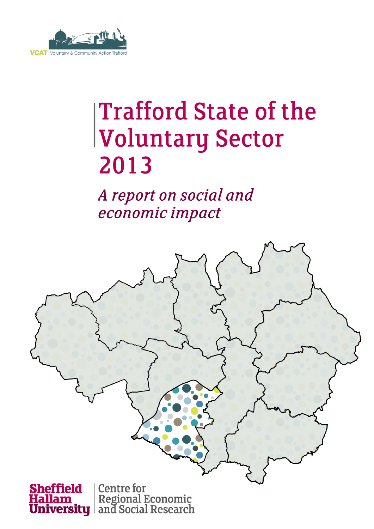

# **Trafford State of the Voluntary Sector** 2013

A report on social and economic impact

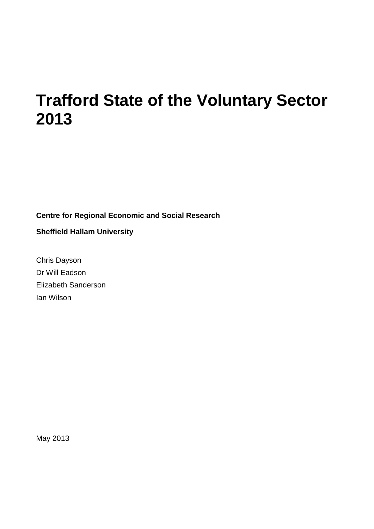### **Trafford State of the Voluntary Sector 2013**

**Centre for Regional Economic and Social Research**

**Sheffield Hallam University**

Chris Dayson Dr Will Eadson Elizabeth Sanderson Ian Wilson

May 2013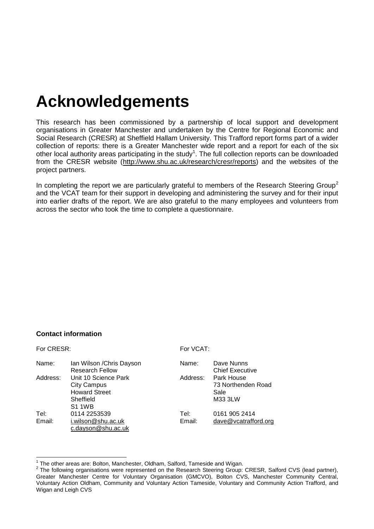# **Acknowledgements**

This research has been commissioned by a partnership of local support and development organisations in Greater Manchester and undertaken by the Centre for Regional Economic and Social Research (CRESR) at Sheffield Hallam University. This Trafford report forms part of a wider collection of reports: there is a Greater Manchester wide report and a report for each of the six other local authority areas participating in the study<sup>1</sup>. The full collection reports can be downloaded from the CRESR website [\(http://www.shu.ac.uk/research/cresr/reports\)](http://www.shu.ac.uk/research/cresr/reports) and the websites of the project partners.

In completing the report we are particularly grateful to members of the Research Steering Group<sup>2</sup> and the VCAT team for their support in developing and administering the survey and for their input into earlier drafts of the report. We are also grateful to the many employees and volunteers from across the sector who took the time to complete a questionnaire.

#### **Contact information**

| For CRESR: |                                                                                                  |          | For VCAT:                                           |  |  |  |
|------------|--------------------------------------------------------------------------------------------------|----------|-----------------------------------------------------|--|--|--|
| Name:      | Ian Wilson / Chris Dayson<br><b>Research Fellow</b>                                              | Name:    | Dave Nunns<br><b>Chief Executive</b>                |  |  |  |
| Address:   | Unit 10 Science Park<br><b>City Campus</b><br><b>Howard Street</b><br>Sheffield<br><b>S1 1WB</b> | Address: | Park House<br>73 Northenden Road<br>Sale<br>M33 3LW |  |  |  |
| Tel:       | 0114 2253539                                                                                     | Tel:     | 0161 905 2414                                       |  |  |  |
| Email:     | i.wilson@shu.ac.uk<br>c.dayson@shu.ac.uk                                                         | Email:   | dave@vcatrafford.org                                |  |  |  |

<sup>1</sup> The other areas are: Bolton, Manchester, Oldham, Salford, Tameside and Wigan.

 $2$  The following organisations were represented on the Research Steering Group: CRESR, Salford CVS (lead partner), Greater Manchester Centre for Voluntary Organisation (GMCVO), Bolton CVS, Manchester Community Central, Voluntary Action Oldham, Community and Voluntary Action Tameside, Voluntary and Community Action Trafford, and Wigan and Leigh CVS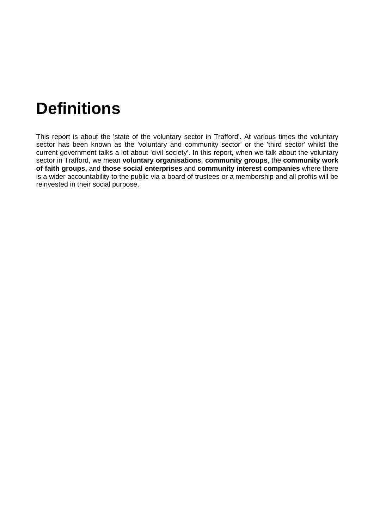## **Definitions**

This report is about the 'state of the voluntary sector in Trafford'. At various times the voluntary sector has been known as the 'voluntary and community sector' or the 'third sector' whilst the current government talks a lot about 'civil society'. In this report, when we talk about the voluntary sector in Trafford, we mean **voluntary organisations**, **community groups**, the **community work of faith groups,** and **those social enterprises** and **community interest companies** where there is a wider accountability to the public via a board of trustees or a membership and all profits will be reinvested in their social purpose.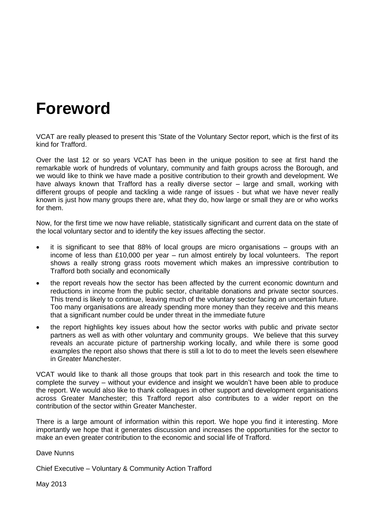### **Foreword**

VCAT are really pleased to present this 'State of the Voluntary Sector report, which is the first of its kind for Trafford.

Over the last 12 or so years VCAT has been in the unique position to see at first hand the remarkable work of hundreds of voluntary, community and faith groups across the Borough, and we would like to think we have made a positive contribution to their growth and development. We have always known that Trafford has a really diverse sector – large and small, working with different groups of people and tackling a wide range of issues - but what we have never really known is just how many groups there are, what they do, how large or small they are or who works for them.

Now, for the first time we now have reliable, statistically significant and current data on the state of the local voluntary sector and to identify the key issues affecting the sector.

- it is significant to see that 88% of local groups are micro organisations groups with an income of less than £10,000 per year – run almost entirely by local volunteers. The report shows a really strong grass roots movement which makes an impressive contribution to Trafford both socially and economically
- the report reveals how the sector has been affected by the current economic downturn and reductions in income from the public sector, charitable donations and private sector sources. This trend is likely to continue, leaving much of the voluntary sector facing an uncertain future. Too many organisations are already spending more money than they receive and this means that a significant number could be under threat in the immediate future
- the report highlights key issues about how the sector works with public and private sector partners as well as with other voluntary and community groups. We believe that this survey reveals an accurate picture of partnership working locally, and while there is some good examples the report also shows that there is still a lot to do to meet the levels seen elsewhere in Greater Manchester.

VCAT would like to thank all those groups that took part in this research and took the time to complete the survey – without your evidence and insight we wouldn't have been able to produce the report. We would also like to thank colleagues in other support and development organisations across Greater Manchester; this Trafford report also contributes to a wider report on the contribution of the sector within Greater Manchester.

There is a large amount of information within this report. We hope you find it interesting. More importantly we hope that it generates discussion and increases the opportunities for the sector to make an even greater contribution to the economic and social life of Trafford.

Dave Nunns

Chief Executive – Voluntary & Community Action Trafford

May 2013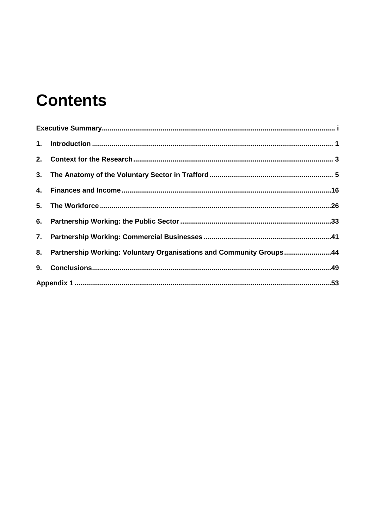# **Contents**

| 8. Partnership Working: Voluntary Organisations and Community Groups44 |  |
|------------------------------------------------------------------------|--|
|                                                                        |  |
|                                                                        |  |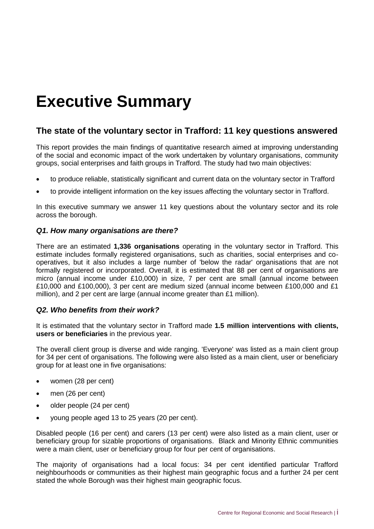## <span id="page-6-0"></span>**Executive Summary**

#### **The state of the voluntary sector in Trafford: 11 key questions answered**

This report provides the main findings of quantitative research aimed at improving understanding of the social and economic impact of the work undertaken by voluntary organisations, community groups, social enterprises and faith groups in Trafford. The study had two main objectives:

- to produce reliable, statistically significant and current data on the voluntary sector in Trafford
- to provide intelligent information on the key issues affecting the voluntary sector in Trafford.

In this executive summary we answer 11 key questions about the voluntary sector and its role across the borough.

#### *Q1. How many organisations are there?*

There are an estimated **1,336 organisations** operating in the voluntary sector in Trafford. This estimate includes formally registered organisations, such as charities, social enterprises and cooperatives, but it also includes a large number of 'below the radar' organisations that are not formally registered or incorporated. Overall, it is estimated that 88 per cent of organisations are micro (annual income under £10,000) in size, 7 per cent are small (annual income between £10,000 and £100,000), 3 per cent are medium sized (annual income between £100,000 and £1 million), and 2 per cent are large (annual income greater than £1 million).

#### *Q2. Who benefits from their work?*

It is estimated that the voluntary sector in Trafford made **1.5 million interventions with clients, users or beneficiaries** in the previous year.

The overall client group is diverse and wide ranging. 'Everyone' was listed as a main client group for 34 per cent of organisations. The following were also listed as a main client, user or beneficiary group for at least one in five organisations:

- women (28 per cent)
- men (26 per cent)
- older people (24 per cent)
- young people aged 13 to 25 years (20 per cent).

Disabled people (16 per cent) and carers (13 per cent) were also listed as a main client, user or beneficiary group for sizable proportions of organisations. Black and Minority Ethnic communities were a main client, user or beneficiary group for four per cent of organisations.

The majority of organisations had a local focus: 34 per cent identified particular Trafford neighbourhoods or communities as their highest main geographic focus and a further 24 per cent stated the whole Borough was their highest main geographic focus.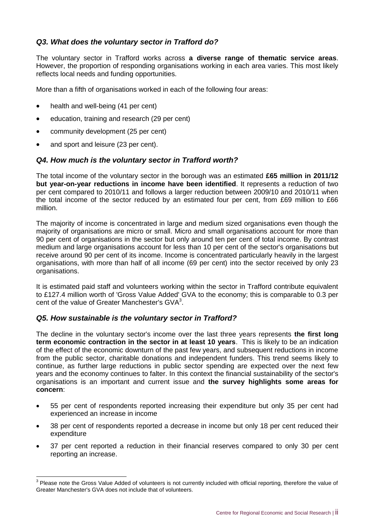#### *Q3. What does the voluntary sector in Trafford do?*

The voluntary sector in Trafford works across **a diverse range of thematic service areas**. However, the proportion of responding organisations working in each area varies. This most likely reflects local needs and funding opportunities.

More than a fifth of organisations worked in each of the following four areas:

- health and well-being (41 per cent)
- education, training and research (29 per cent)
- community development (25 per cent)
- and sport and leisure (23 per cent).

 $\overline{a}$ 

#### *Q4. How much is the voluntary sector in Trafford worth?*

The total income of the voluntary sector in the borough was an estimated **£65 million in 2011/12 but year-on-year reductions in income have been identified**. It represents a reduction of two per cent compared to 2010/11 and follows a larger reduction between 2009/10 and 2010/11 when the total income of the sector reduced by an estimated four per cent, from £69 million to £66 million.

The majority of income is concentrated in large and medium sized organisations even though the majority of organisations are micro or small. Micro and small organisations account for more than 90 per cent of organisations in the sector but only around ten per cent of total income. By contrast medium and large organisations account for less than 10 per cent of the sector's organisations but receive around 90 per cent of its income. Income is concentrated particularly heavily in the largest organisations, with more than half of all income (69 per cent) into the sector received by only 23 organisations.

It is estimated paid staff and volunteers working within the sector in Trafford contribute equivalent to £127.4 million worth of 'Gross Value Added' GVA to the economy; this is comparable to 0.3 per cent of the value of Greater Manchester's  $\textsf{GVA}^3$ .

#### *Q5. How sustainable is the voluntary sector in Trafford?*

The decline in the voluntary sector's income over the last three years represents **the first long term economic contraction in the sector in at least 10 years**. This is likely to be an indication of the effect of the economic downturn of the past few years, and subsequent reductions in income from the public sector, charitable donations and independent funders. This trend seems likely to continue, as further large reductions in public sector spending are expected over the next few years and the economy continues to falter. In this context the financial sustainability of the sector's organisations is an important and current issue and **the survey highlights some areas for concern**:

- 55 per cent of respondents reported increasing their expenditure but only 35 per cent had experienced an increase in income
- 38 per cent of respondents reported a decrease in income but only 18 per cent reduced their expenditure
- 37 per cent reported a reduction in their financial reserves compared to only 30 per cent reporting an increase.

 $3$  Please note the Gross Value Added of volunteers is not currently included with official reporting, therefore the value of Greater Manchester's GVA does not include that of volunteers.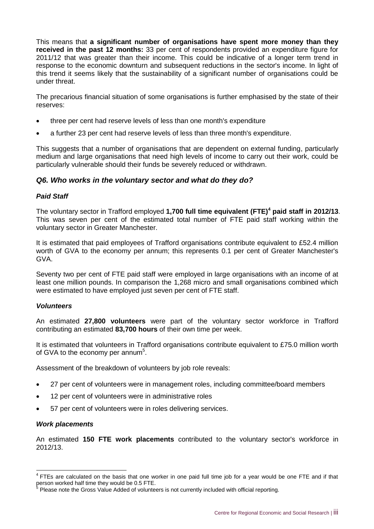This means that **a significant number of organisations have spent more money than they received in the past 12 months:** 33 per cent of respondents provided an expenditure figure for 2011/12 that was greater than their income. This could be indicative of a longer term trend in response to the economic downturn and subsequent reductions in the sector's income. In light of this trend it seems likely that the sustainability of a significant number of organisations could be under threat.

The precarious financial situation of some organisations is further emphasised by the state of their reserves:

- three per cent had reserve levels of less than one month's expenditure
- a further 23 per cent had reserve levels of less than three month's expenditure.

This suggests that a number of organisations that are dependent on external funding, particularly medium and large organisations that need high levels of income to carry out their work, could be particularly vulnerable should their funds be severely reduced or withdrawn.

#### *Q6. Who works in the voluntary sector and what do they do?*

#### *Paid Staff*

The voluntary sector in Trafford employed **1,700 full time equivalent (FTE)<sup>4</sup> paid staff in 2012/13**. This was seven per cent of the estimated total number of FTE paid staff working within the voluntary sector in Greater Manchester.

It is estimated that paid employees of Trafford organisations contribute equivalent to £52.4 million worth of GVA to the economy per annum; this represents 0.1 per cent of Greater Manchester's GVA.

Seventy two per cent of FTE paid staff were employed in large organisations with an income of at least one million pounds. In comparison the 1,268 micro and small organisations combined which were estimated to have employed just seven per cent of FTE staff.

#### *Volunteers*

An estimated **27,800 volunteers** were part of the voluntary sector workforce in Trafford contributing an estimated **83,700 hours** of their own time per week.

It is estimated that volunteers in Trafford organisations contribute equivalent to £75.0 million worth of GVA to the economy per annum<sup>5</sup>.

Assessment of the breakdown of volunteers by job role reveals:

- 27 per cent of volunteers were in management roles, including committee/board members
- 12 per cent of volunteers were in administrative roles
- 57 per cent of volunteers were in roles delivering services.

#### *Work placements*

An estimated **150 FTE work placements** contributed to the voluntary sector's workforce in 2012/13.

 4 FTEs are calculated on the basis that one worker in one paid full time job for a year would be one FTE and if that person worked half time they would be 0.5 FTE.<br><sup>5</sup> Please note the Gross Value Added of volunteers is not currently included with official reporting.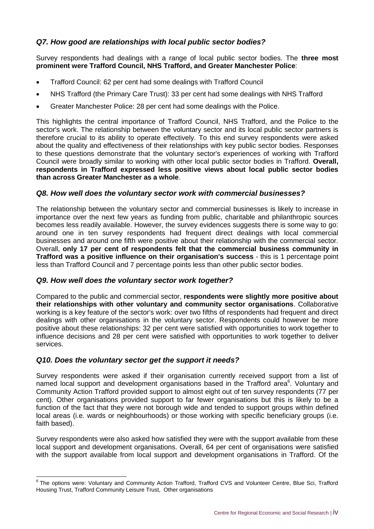#### *Q7. How good are relationships with local public sector bodies?*

Survey respondents had dealings with a range of local public sector bodies. The **three most prominent were Trafford Council, NHS Trafford, and Greater Manchester Police**:

- Trafford Council: 62 per cent had some dealings with Trafford Council
- NHS Trafford (the Primary Care Trust): 33 per cent had some dealings with NHS Trafford
- Greater Manchester Police: 28 per cent had some dealings with the Police.

This highlights the central importance of Trafford Council, NHS Trafford, and the Police to the sector's work. The relationship between the voluntary sector and its local public sector partners is therefore crucial to its ability to operate effectively. To this end survey respondents were asked about the quality and effectiveness of their relationships with key public sector bodies. Responses to these questions demonstrate that the voluntary sector's experiences of working with Trafford Council were broadly similar to working with other local public sector bodies in Trafford. **Overall, respondents in Trafford expressed less positive views about local public sector bodies than across Greater Manchester as a whole**.

#### *Q8. How well does the voluntary sector work with commercial businesses?*

The relationship between the voluntary sector and commercial businesses is likely to increase in importance over the next few years as funding from public, charitable and philanthropic sources becomes less readily available. However, the survey evidences suggests there is some way to go: around one in ten survey respondents had frequent direct dealings with local commercial businesses and around one fifth were positive about their relationship with the commercial sector. Overall, **only 17 per cent of respondents felt that the commercial business community in Trafford was a positive influence on their organisation's success** - this is 1 percentage point less than Trafford Council and 7 percentage points less than other public sector bodies.

#### *Q9. How well does the voluntary sector work together?*

Compared to the public and commercial sector, **respondents were slightly more positive about their relationships with other voluntary and community sector organisations**. Collaborative working is a key feature of the sector's work: over two fifths of respondents had frequent and direct dealings with other organisations in the voluntary sector. Respondents could however be more positive about these relationships: 32 per cent were satisfied with opportunities to work together to influence decisions and 28 per cent were satisfied with opportunities to work together to deliver services.

#### *Q10. Does the voluntary sector get the support it needs?*

Survey respondents were asked if their organisation currently received support from a list of named local support and development organisations based in the Trafford area<sup>6</sup>. Voluntary and Community Action Trafford provided support to almost eight out of ten survey respondents (77 per cent). Other organisations provided support to far fewer organisations but this is likely to be a function of the fact that they were not borough wide and tended to support groups within defined local areas (i.e. wards or neighbourhoods) or those working with specific beneficiary groups (i.e. faith based).

Survey respondents were also asked how satisfied they were with the support available from these local support and development organisations. Overall, 64 per cent of organisations were satisfied with the support available from local support and development organisations in Trafford. Of the

<sup>&</sup>lt;u>end</u><br>Fine options were: Voluntary and Community Action Trafford, Trafford CVS and Volunteer Centre, Blue Sci, Trafford Housing Trust, Trafford Community Leisure Trust, Other organisations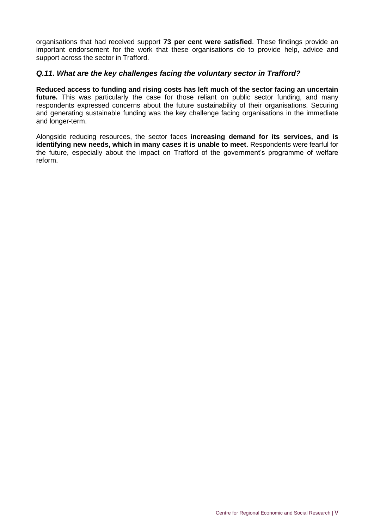organisations that had received support **73 per cent were satisfied**. These findings provide an important endorsement for the work that these organisations do to provide help, advice and support across the sector in Trafford.

#### *Q.11. What are the key challenges facing the voluntary sector in Trafford?*

**Reduced access to funding and rising costs has left much of the sector facing an uncertain future.** This was particularly the case for those reliant on public sector funding, and many respondents expressed concerns about the future sustainability of their organisations. Securing and generating sustainable funding was the key challenge facing organisations in the immediate and longer-term.

Alongside reducing resources, the sector faces **increasing demand for its services, and is identifying new needs, which in many cases it is unable to meet**. Respondents were fearful for the future, especially about the impact on Trafford of the government's programme of welfare reform.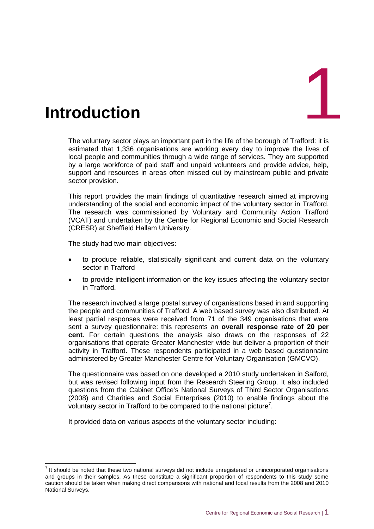<span id="page-11-0"></span>

The voluntary sector plays an important part in the life of the borough of Trafford: it is estimated that 1,336 organisations are working every day to improve the lives of local people and communities through a wide range of services. They are supported by a large workforce of paid staff and unpaid volunteers and provide advice, help, support and resources in areas often missed out by mainstream public and private sector provision.

This report provides the main findings of quantitative research aimed at improving understanding of the social and economic impact of the voluntary sector in Trafford. The research was commissioned by Voluntary and Community Action Trafford (VCAT) and undertaken by the Centre for Regional Economic and Social Research (CRESR) at Sheffield Hallam University.

The study had two main objectives:

- to produce reliable, statistically significant and current data on the voluntary sector in Trafford
- to provide intelligent information on the key issues affecting the voluntary sector in Trafford.

The research involved a large postal survey of organisations based in and supporting the people and communities of Trafford. A web based survey was also distributed. At least partial responses were received from 71 of the 349 organisations that were sent a survey questionnaire: this represents an **overall response rate of 20 per cent**. For certain questions the analysis also draws on the responses of 22 organisations that operate Greater Manchester wide but deliver a proportion of their activity in Trafford. These respondents participated in a web based questionnaire administered by Greater Manchester Centre for Voluntary Organisation (GMCVO).

The questionnaire was based on one developed a 2010 study undertaken in Salford, but was revised following input from the Research Steering Group. It also included questions from the Cabinet Office's National Surveys of Third Sector Organisations (2008) and Charities and Social Enterprises (2010) to enable findings about the voluntary sector in Trafford to be compared to the national picture<sup>7</sup>.

It provided data on various aspects of the voluntary sector including:

 7 It should be noted that these two national surveys did not include unregistered or unincorporated organisations and groups in their samples. As these constitute a significant proportion of respondents to this study some caution should be taken when making direct comparisons with national and local results from the 2008 and 2010 National Surveys.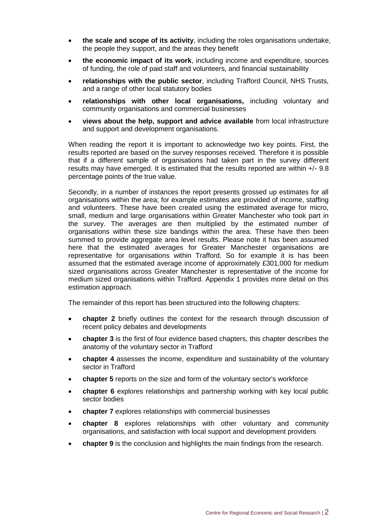- **the scale and scope of its activity**, including the roles organisations undertake, the people they support, and the areas they benefit
- **the economic impact of its work**, including income and expenditure, sources of funding, the role of paid staff and volunteers, and financial sustainability
- **relationships with the public sector**, including Trafford Council, NHS Trusts, and a range of other local statutory bodies
- **relationships with other local organisations,** including voluntary and community organisations and commercial businesses
- **views about the help, support and advice available** from local infrastructure and support and development organisations.

When reading the report it is important to acknowledge two key points. First, the results reported are based on the survey responses received. Therefore it is possible that if a different sample of organisations had taken part in the survey different results may have emerged. It is estimated that the results reported are within +/- 9.8 percentage points of the true value.

Secondly, in a number of instances the report presents grossed up estimates for all organisations within the area; for example estimates are provided of income, staffing and volunteers. These have been created using the estimated average for micro, small, medium and large organisations within Greater Manchester who took part in the survey. The averages are then multiplied by the estimated number of organisations within these size bandings within the area. These have then been summed to provide aggregate area level results. Please note it has been assumed here that the estimated averages for Greater Manchester organisations are representative for organisations within Trafford. So for example it is has been assumed that the estimated average income of approximately £301,000 for medium sized organisations across Greater Manchester is representative of the income for medium sized organisations within Trafford. Appendix 1 provides more detail on this estimation approach.

The remainder of this report has been structured into the following chapters:

- **chapter 2** briefly outlines the context for the research through discussion of recent policy debates and developments
- **chapter 3** is the first of four evidence based chapters, this chapter describes the anatomy of the voluntary sector in Trafford
- **chapter 4** assesses the income, expenditure and sustainability of the voluntary sector in Trafford
- **chapter 5** reports on the size and form of the voluntary sector's workforce
- **chapter 6** explores relationships and partnership working with key local public sector bodies
- **chapter 7** explores relationships with commercial businesses
- **chapter 8** explores relationships with other voluntary and community organisations, and satisfaction with local support and development providers
- **chapter 9** is the conclusion and highlights the main findings from the research.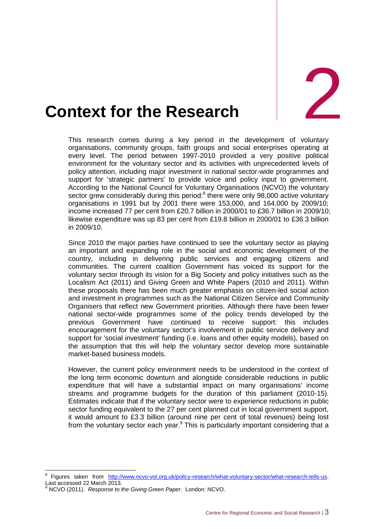

# <span id="page-13-0"></span>**2. Context for the Research**

This research comes during a key period in the development of voluntary organisations, community groups, faith groups and social enterprises operating at every level. The period between 1997-2010 provided a very positive political environment for the voluntary sector and its activities with unprecedented levels of policy attention, including major investment in national sector-wide programmes and support for 'strategic partners' to provide voice and policy input to government. According to the National Council for Voluntary Organisations (NCVO) the voluntary sector grew considerably during this period:<sup>8</sup> there were only 98,000 active voluntary organisations in 1991 but by 2001 there were 153,000, and 164,000 by 2009/10; income increased 77 per cent from £20.7 billion in 2000/01 to £36.7 billion in 2009/10; likewise expenditure was up 83 per cent from £19.8 billion in 2000/01 to £36.3 billion in 2009/10.

Since 2010 the major parties have continued to see the voluntary sector as playing an important and expanding role in the social and economic development of the country, including in delivering public services and engaging citizens and communities. The current coalition Government has voiced its support for the voluntary sector through its vision for a Big Society and policy initiatives such as the Localism Act (2011) and Giving Green and White Papers (2010 and 2011). Within these proposals there has been much greater emphasis on citizen-led social action and investment in programmes such as the National Citizen Service and Community Organisers that reflect new Government priorities. Although there have been fewer national sector-wide programmes some of the policy trends developed by the previous Government have continued to receive support: this includes encouragement for the voluntary sector's involvement in public service delivery and support for 'social investment' funding (i.e. loans and other equity models), based on the assumption that this will help the voluntary sector develop more sustainable market-based business models.

However, the current policy environment needs to be understood in the context of the long term economic downturn and alongside considerable reductions in public expenditure that will have a substantial impact on many organisations' income streams and programme budgets for the duration of this parliament (2010-15). Estimates indicate that if the voluntary sector were to experience reductions in public sector funding equivalent to the 27 per cent planned cut in local government support, it would amount to £3.3 billion (around nine per cent of total revenues) being lost from the voluntary sector each year.<sup>9</sup> This is particularly important considering that a

-

<sup>8</sup> Figures taken from [http://www.ncvo-vol.org.uk/policy-research/what-voluntary-sector/what-research-tells-us.](http://www.ncvo-vol.org.uk/policy-research/what-voluntary-sector/what-research-tells-us) Last accessed 22 March 2013.

<sup>9</sup> NCVO (2011). *Response to the Giving Green Paper*. London: NCVO.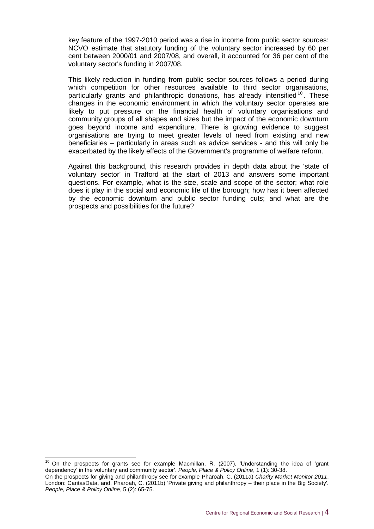key feature of the 1997-2010 period was a rise in income from public sector sources: NCVO estimate that statutory funding of the voluntary sector increased by 60 per cent between 2000/01 and 2007/08, and overall, it accounted for 36 per cent of the voluntary sector's funding in 2007/08.

This likely reduction in funding from public sector sources follows a period during which competition for other resources available to third sector organisations, particularly grants and philanthropic donations, has already intensified <sup>10</sup>. These changes in the economic environment in which the voluntary sector operates are likely to put pressure on the financial health of voluntary organisations and community groups of all shapes and sizes but the impact of the economic downturn goes beyond income and expenditure. There is growing evidence to suggest organisations are trying to meet greater levels of need from existing and new beneficiaries – particularly in areas such as advice services - and this will only be exacerbated by the likely effects of the Government's programme of welfare reform.

Against this background, this research provides in depth data about the 'state of voluntary sector' in Trafford at the start of 2013 and answers some important questions. For example, what is the size, scale and scope of the sector; what role does it play in the social and economic life of the borough; how has it been affected by the economic downturn and public sector funding cuts; and what are the prospects and possibilities for the future?

-

<sup>10</sup> On the prospects for grants see for example Macmillan, R. (2007). 'Understanding the idea of 'grant dependency' in the voluntary and community sector'. *People, Place & Policy Online*, 1 (1): 30-38. On the prospects for giving and philanthropy see for example Pharoah, C. (2011a) *Charity Market Monitor 2011*. London: CaritasData, and, Pharoah, C. (2011b) 'Private giving and philanthropy – their place in the Big Society'. *People, Place & Policy Online*, 5 (2): 65-75.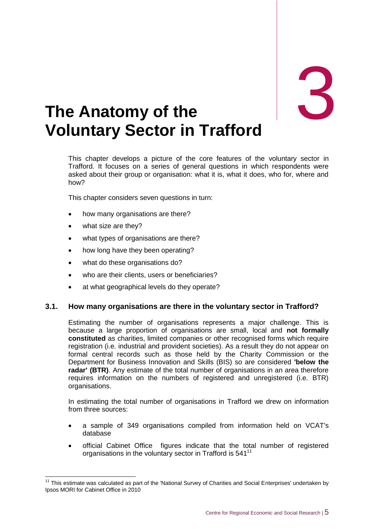

### <span id="page-15-0"></span>3. **The Anatomy of the Voluntary Sector in Trafford**

This chapter develops a picture of the core features of the voluntary sector in Trafford. It focuses on a series of general questions in which respondents were asked about their group or organisation: what it is, what it does, who for, where and how?

This chapter considers seven questions in turn:

- how many organisations are there?
- what size are they?

-

- what types of organisations are there?
- how long have they been operating?
- what do these organisations do?
- who are their clients, users or beneficiaries?
- at what geographical levels do they operate?

#### **3.1. How many organisations are there in the voluntary sector in Trafford?**

Estimating the number of organisations represents a major challenge. This is because a large proportion of organisations are small, local and **not formally constituted** as charities, limited companies or other recognised forms which require registration (i.e. industrial and provident societies). As a result they do not appear on formal central records such as those held by the Charity Commission or the Department for Business Innovation and Skills (BIS) so are considered **'below the radar' (BTR)**. Any estimate of the total number of organisations in an area therefore requires information on the numbers of registered and unregistered (i.e. BTR) organisations.

In estimating the total number of organisations in Trafford we drew on information from three sources:

- a sample of 349 organisations compiled from information held on VCAT's database
- official Cabinet Office figures indicate that the total number of registered organisations in the voluntary sector in Trafford is 541<sup>11</sup>

 $11$  This estimate was calculated as part of the 'National Survey of Charities and Social Enterprises' undertaken by Ipsos MORI for Cabinet Office in 2010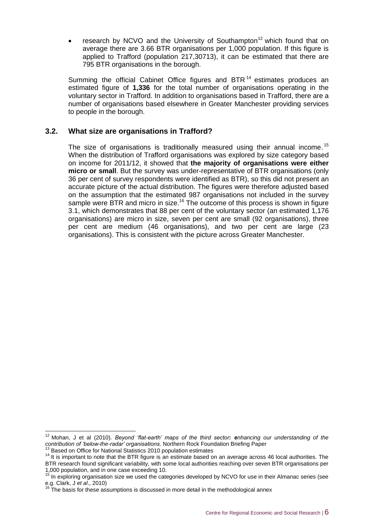research by NCVO and the University of Southampton<sup>12</sup> which found that on average there are 3.66 BTR organisations per 1,000 population. If this figure is applied to Trafford (population 217,30713), it can be estimated that there are 795 BTR organisations in the borough.

Summing the official Cabinet Office figures and BTR<sup>14</sup> estimates produces an estimated figure of **1,336** for the total number of organisations operating in the voluntary sector in Trafford. In addition to organisations based in Trafford, there are a number of organisations based elsewhere in Greater Manchester providing services to people in the borough.

#### **3.2. What size are organisations in Trafford?**

The size of organisations is traditionally measured using their annual income.<sup>15</sup> When the distribution of Trafford organisations was explored by size category based on income for 2011/12, it showed that **the majority of organisations were either micro or small**. But the survey was under-representative of BTR organisations (only 36 per cent of survey respondents were identified as BTR), so this did not present an accurate picture of the actual distribution. The figures were therefore adjusted based on the assumption that the estimated 987 organisations not included in the survey sample were BTR and micro in size.<sup>16</sup> The outcome of this process is shown in figure 3.1, which demonstrates that 88 per cent of the voluntary sector (an estimated 1,176 organisations) are micro in size, seven per cent are small (92 organisations), three per cent are medium (46 organisations), and two per cent are large (23 organisations). This is consistent with the picture across Greater Manchester.

 $\overline{1}$ 

<sup>12</sup> Mohan, J et al (2010). *Beyond 'flat-earth' maps of the third sector: enhancing our understanding of the contribution of 'below-the-radar' organisations*. Northern Rock Foundation Briefing Paper

<sup>&</sup>lt;sup>13</sup> Based on Office for National Statistics 2010 population estimates

<sup>14</sup> It is important to note that the BTR figure is an estimate based on an average across 46 local authorities. The

BTR research found significant variability, with some local authorities reaching over seven BTR organisations per 1,000 population, and in one case exceeding 10.

<sup>&</sup>lt;sup>15</sup> In exploring organisation size we used the categories developed by NCVO for use in their Almanac series (see e.g. Clark, J *et al*., 2010)

The basis for these assumptions is discussed in more detail in the methodological annex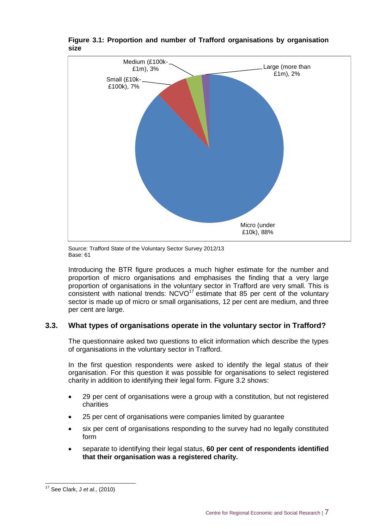

**Figure 3.1: Proportion and number of Trafford organisations by organisation size** 

Source: Trafford State of the Voluntary Sector Survey 2012/13 Base: 61

Introducing the BTR figure produces a much higher estimate for the number and proportion of micro organisations and emphasises the finding that a very large proportion of organisations in the voluntary sector in Trafford are very small. This is consistent with national trends:  $NCVO<sup>17</sup>$  estimate that 85 per cent of the voluntary sector is made up of micro or small organisations, 12 per cent are medium, and three per cent are large.

#### **3.3. What types of organisations operate in the voluntary sector in Trafford?**

The questionnaire asked two questions to elicit information which describe the types of organisations in the voluntary sector in Trafford.

In the first question respondents were asked to identify the legal status of their organisation. For this question it was possible for organisations to select registered charity in addition to identifying their legal form. Figure 3.2 shows:

- 29 per cent of organisations were a group with a constitution, but not registered charities
- 25 per cent of organisations were companies limited by guarantee
- six per cent of organisations responding to the survey had no legally constituted form
- separate to identifying their legal status, **60 per cent of respondents identified that their organisation was a registered charity.**

 $\overline{1}$ <sup>17</sup> See Clark, J *et al.,* (2010)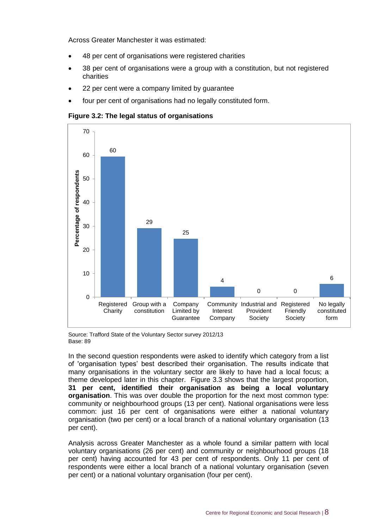Across Greater Manchester it was estimated:

- 48 per cent of organisations were registered charities
- 38 per cent of organisations were a group with a constitution, but not registered charities
- 22 per cent were a company limited by guarantee
- four per cent of organisations had no legally constituted form.

**Figure 3.2: The legal status of organisations**



Source: Trafford State of the Voluntary Sector survey 2012/13 Base: 89

In the second question respondents were asked to identify which category from a list of 'organisation types' best described their organisation. The results indicate that many organisations in the voluntary sector are likely to have had a local focus; a theme developed later in this chapter. Figure 3.3 shows that the largest proportion, **31 per cent, identified their organisation as being a local voluntary organisation**. This was over double the proportion for the next most common type: community or neighbourhood groups (13 per cent). National organisations were less common: just 16 per cent of organisations were either a national voluntary organisation (two per cent) or a local branch of a national voluntary organisation (13 per cent).

Analysis across Greater Manchester as a whole found a similar pattern with local voluntary organisations (26 per cent) and community or neighbourhood groups (18 per cent) having accounted for 43 per cent of respondents. Only 11 per cent of respondents were either a local branch of a national voluntary organisation (seven per cent) or a national voluntary organisation (four per cent).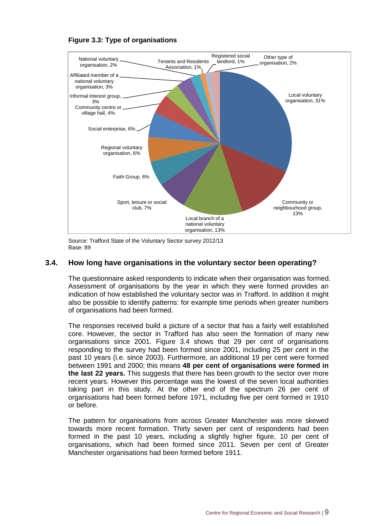

**Figure 3.3: Type of organisations** 

Source: Trafford State of the Voluntary Sector survey 2012/13 Base: 89

#### **3.4. How long have organisations in the voluntary sector been operating?**

The questionnaire asked respondents to indicate when their organisation was formed. Assessment of organisations by the year in which they were formed provides an indication of how established the voluntary sector was in Trafford. In addition it might also be possible to identify patterns: for example time periods when greater numbers of organisations had been formed.

The responses received build a picture of a sector that has a fairly well established core. However, the sector in Trafford has also seen the formation of many new organisations since 2001. Figure 3.4 shows that 29 per cent of organisations responding to the survey had been formed since 2001, including 25 per cent in the past 10 years (i.e. since 2003). Furthermore, an additional 19 per cent were formed between 1991 and 2000; this means **48 per cent of organisations were formed in the last 22 years.** This suggests that there has been growth to the sector over more recent years. However this percentage was the lowest of the seven local authorities taking part in this study. At the other end of the spectrum 26 per cent of organisations had been formed before 1971, including five per cent formed in 1910 or before.

The pattern for organisations from across Greater Manchester was more skewed towards more recent formation. Thirty seven per cent of respondents had been formed in the past 10 years, including a slightly higher figure, 10 per cent of organisations, which had been formed since 2011. Seven per cent of Greater Manchester organisations had been formed before 1911.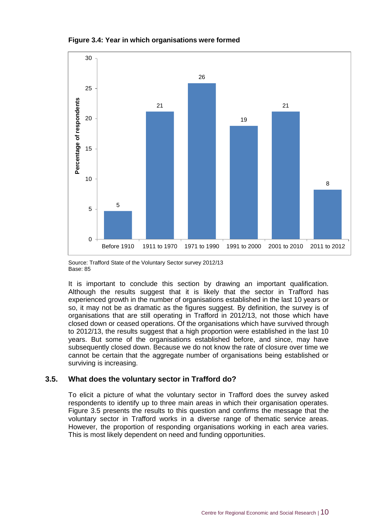



Source: Trafford State of the Voluntary Sector survey 2012/13 Base: 85

It is important to conclude this section by drawing an important qualification. Although the results suggest that it is likely that the sector in Trafford has experienced growth in the number of organisations established in the last 10 years or so, it may not be as dramatic as the figures suggest. By definition, the survey is of organisations that are still operating in Trafford in 2012/13, not those which have closed down or ceased operations. Of the organisations which have survived through to 2012/13, the results suggest that a high proportion were established in the last 10 years. But some of the organisations established before, and since, may have subsequently closed down. Because we do not know the rate of closure over time we cannot be certain that the aggregate number of organisations being established or surviving is increasing.

#### **3.5. What does the voluntary sector in Trafford do?**

To elicit a picture of what the voluntary sector in Trafford does the survey asked respondents to identify up to three main areas in which their organisation operates. Figure 3.5 presents the results to this question and confirms the message that the voluntary sector in Trafford works in a diverse range of thematic service areas. However, the proportion of responding organisations working in each area varies. This is most likely dependent on need and funding opportunities.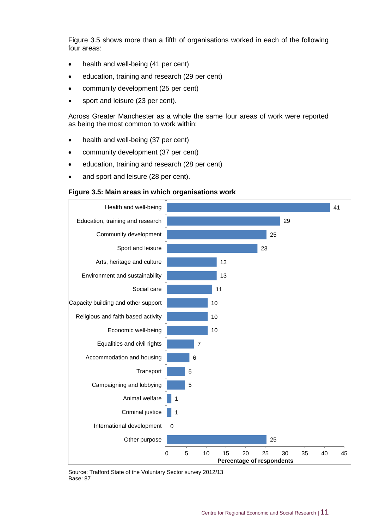Figure 3.5 shows more than a fifth of organisations worked in each of the following four areas:

- health and well-being (41 per cent)
- education, training and research (29 per cent)
- community development (25 per cent)
- sport and leisure (23 per cent).

Across Greater Manchester as a whole the same four areas of work were reported as being the most common to work within:

- health and well-being (37 per cent)
- community development (37 per cent)
- education, training and research (28 per cent)
- and sport and leisure (28 per cent).

#### **Figure 3.5: Main areas in which organisations work**



Source: Trafford State of the Voluntary Sector survey 2012/13 Base: 87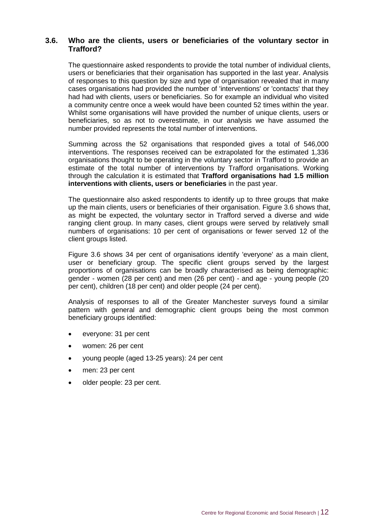#### **3.6. Who are the clients, users or beneficiaries of the voluntary sector in Trafford?**

The questionnaire asked respondents to provide the total number of individual clients, users or beneficiaries that their organisation has supported in the last year. Analysis of responses to this question by size and type of organisation revealed that in many cases organisations had provided the number of 'interventions' or 'contacts' that they had had with clients, users or beneficiaries. So for example an individual who visited a community centre once a week would have been counted 52 times within the year. Whilst some organisations will have provided the number of unique clients, users or beneficiaries, so as not to overestimate, in our analysis we have assumed the number provided represents the total number of interventions.

Summing across the 52 organisations that responded gives a total of 546,000 interventions. The responses received can be extrapolated for the estimated 1,336 organisations thought to be operating in the voluntary sector in Trafford to provide an estimate of the total number of interventions by Trafford organisations. Working through the calculation it is estimated that **Trafford organisations had 1.5 million interventions with clients, users or beneficiaries** in the past year.

The questionnaire also asked respondents to identify up to three groups that make up the main clients, users or beneficiaries of their organisation. Figure 3.6 shows that, as might be expected, the voluntary sector in Trafford served a diverse and wide ranging client group. In many cases, client groups were served by relatively small numbers of organisations: 10 per cent of organisations or fewer served 12 of the client groups listed.

Figure 3.6 shows 34 per cent of organisations identify 'everyone' as a main client, user or beneficiary group. The specific client groups served by the largest proportions of organisations can be broadly characterised as being demographic: gender - women (28 per cent) and men (26 per cent) - and age - young people (20 per cent), children (18 per cent) and older people (24 per cent).

Analysis of responses to all of the Greater Manchester surveys found a similar pattern with general and demographic client groups being the most common beneficiary groups identified:

- everyone: 31 per cent
- women: 26 per cent
- young people (aged 13-25 years): 24 per cent
- men: 23 per cent
- older people: 23 per cent.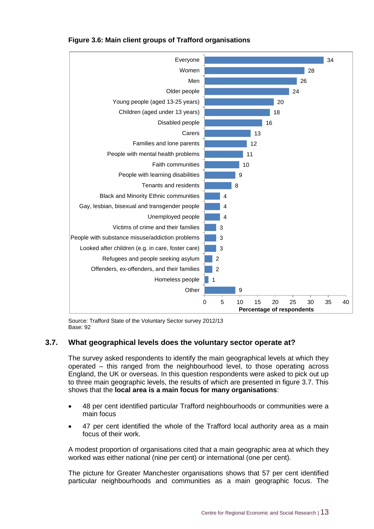

#### **Figure 3.6: Main client groups of Trafford organisations**

Source: Trafford State of the Voluntary Sector survey 2012/13 Base: 92

#### **3.7. What geographical levels does the voluntary sector operate at?**

The survey asked respondents to identify the main geographical levels at which they operated – this ranged from the neighbourhood level, to those operating across England, the UK or overseas. In this question respondents were asked to pick out up to three main geographic levels, the results of which are presented in figure 3.7. This shows that the **local area is a main focus for many organisations**:

- 48 per cent identified particular Trafford neighbourhoods or communities were a main focus
- 47 per cent identified the whole of the Trafford local authority area as a main focus of their work.

A modest proportion of organisations cited that a main geographic area at which they worked was either national (nine per cent) or international (one per cent).

The picture for Greater Manchester organisations shows that 57 per cent identified particular neighbourhoods and communities as a main geographic focus. The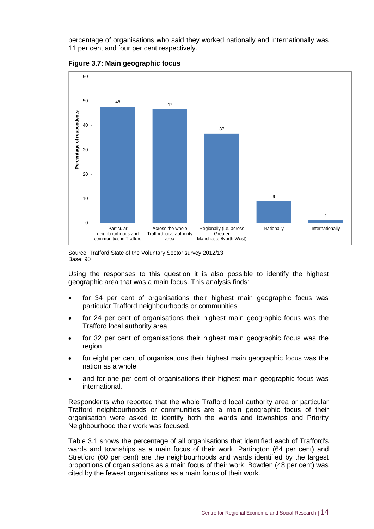percentage of organisations who said they worked nationally and internationally was 11 per cent and four per cent respectively.



**Figure 3.7: Main geographic focus**



Using the responses to this question it is also possible to identify the highest geographic area that was a main focus. This analysis finds:

- for 34 per cent of organisations their highest main geographic focus was particular Trafford neighbourhoods or communities
- for 24 per cent of organisations their highest main geographic focus was the Trafford local authority area
- for 32 per cent of organisations their highest main geographic focus was the region
- for eight per cent of organisations their highest main geographic focus was the nation as a whole
- and for one per cent of organisations their highest main geographic focus was international.

Respondents who reported that the whole Trafford local authority area or particular Trafford neighbourhoods or communities are a main geographic focus of their organisation were asked to identify both the wards and townships and Priority Neighbourhood their work was focused.

Table 3.1 shows the percentage of all organisations that identified each of Trafford's wards and townships as a main focus of their work. Partington (64 per cent) and Stretford (60 per cent) are the neighbourhoods and wards identified by the largest proportions of organisations as a main focus of their work. Bowden (48 per cent) was cited by the fewest organisations as a main focus of their work.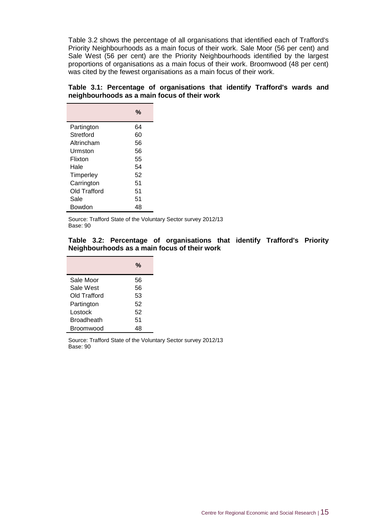Table 3.2 shows the percentage of all organisations that identified each of Trafford's Priority Neighbourhoods as a main focus of their work. Sale Moor (56 per cent) and Sale West (56 per cent) are the Priority Neighbourhoods identified by the largest proportions of organisations as a main focus of their work. Broomwood (48 per cent) was cited by the fewest organisations as a main focus of their work.

#### **Table 3.1: Percentage of organisations that identify Trafford's wards and neighbourhoods as a main focus of their work**

|              | %  |
|--------------|----|
| Partington   | 64 |
| Stretford    | 60 |
| Altrincham   | 56 |
| Urmston      | 56 |
| Flixton      | 55 |
| Hale         | 54 |
| Timperley    | 52 |
| Carrington   | 51 |
| Old Trafford | 51 |
| Sale         | 51 |
| Bowdon       | 48 |

Source: Trafford State of the Voluntary Sector survey 2012/13 Base: 90

#### **Table 3.2: Percentage of organisations that identify Trafford's Priority Neighbourhoods as a main focus of their work**

|                   | %  |
|-------------------|----|
| Sale Moor         | 56 |
| Sale West         | 56 |
| Old Trafford      | 53 |
| Partington        | 52 |
| Lostock           | 52 |
| <b>Broadheath</b> | 51 |
| Broomwood         |    |

Source: Trafford State of the Voluntary Sector survey 2012/13 Base: 90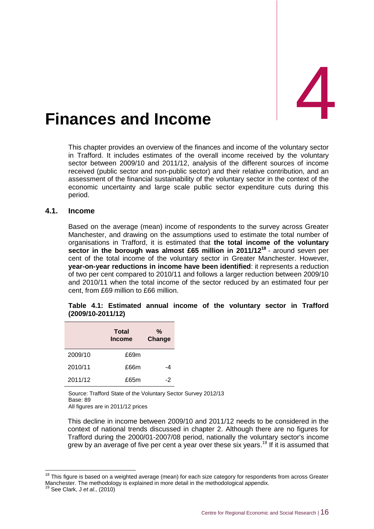# <span id="page-26-0"></span>Finances and Income

This chapter provides an overview of the finances and income of the voluntary sector in Trafford. It includes estimates of the overall income received by the voluntary sector between 2009/10 and 2011/12, analysis of the different sources of income received (public sector and non-public sector) and their relative contribution, and an assessment of the financial sustainability of the voluntary sector in the context of the economic uncertainty and large scale public sector expenditure cuts during this period.

#### **4.1. Income**

Based on the average (mean) income of respondents to the survey across Greater Manchester, and drawing on the assumptions used to estimate the total number of organisations in Trafford, it is estimated that **the total income of the voluntary sector in the borough was almost £65 million in 2011/12<sup>18</sup>** - around seven per cent of the total income of the voluntary sector in Greater Manchester. However, **year-on-year reductions in income have been identified**: it represents a reduction of two per cent compared to 2010/11 and follows a larger reduction between 2009/10 and 2010/11 when the total income of the sector reduced by an estimated four per cent, from £69 million to £66 million.

|  | Table 4.1: Estimated annual income of the voluntary sector in Trafford |  |  |  |  |
|--|------------------------------------------------------------------------|--|--|--|--|
|  | $(2009/10-2011/12)$                                                    |  |  |  |  |

|         | <b>Total</b><br><b>Income</b> | %<br>Change |  |  |
|---------|-------------------------------|-------------|--|--|
| 2009/10 | £69m                          |             |  |  |
| 2010/11 | £66m                          | -4          |  |  |
| 2011/12 | £65m                          | -2          |  |  |

Source: Trafford State of the Voluntary Sector Survey 2012/13 Base: 89 All figures are in 2011/12 prices

This decline in income between 2009/10 and 2011/12 needs to be considered in the context of national trends discussed in chapter 2. Although there are no figures for Trafford during the 2000/01-2007/08 period, nationally the voluntary sector's income grew by an average of five per cent a year over these six years.<sup>19</sup> If it is assumed that

-

 $18$  This figure is based on a weighted average (mean) for each size category for respondents from across Greater Manchester. The methodology is explained in more detail in the methodological appendix.

See Clark, J *et al.*, (2010)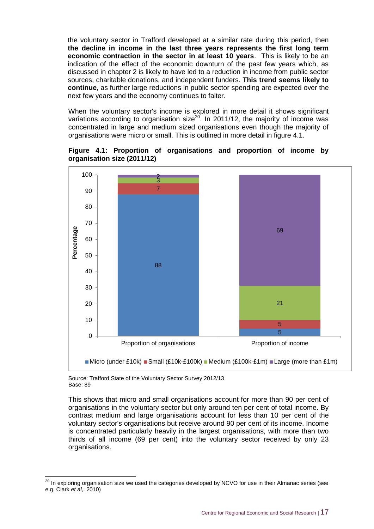the voluntary sector in Trafford developed at a similar rate during this period, then **the decline in income in the last three years represents the first long term economic contraction in the sector in at least 10 years**. This is likely to be an indication of the effect of the economic downturn of the past few years which, as discussed in chapter 2 is likely to have led to a reduction in income from public sector sources, charitable donations, and independent funders. **This trend seems likely to continue**, as further large reductions in public sector spending are expected over the next few years and the economy continues to falter.

When the voluntary sector's income is explored in more detail it shows significant variations according to organisation size<sup>20</sup>. In 2011/12, the majority of income was concentrated in large and medium sized organisations even though the majority of organisations were micro or small. This is outlined in more detail in figure 4.1.





Source: Trafford State of the Voluntary Sector Survey 2012/13 Base: 89

-

This shows that micro and small organisations account for more than 90 per cent of organisations in the voluntary sector but only around ten per cent of total income. By contrast medium and large organisations account for less than 10 per cent of the voluntary sector's organisations but receive around 90 per cent of its income. Income is concentrated particularly heavily in the largest organisations, with more than two thirds of all income (69 per cent) into the voluntary sector received by only 23 organisations.

 $^{20}$  In exploring organisation size we used the categories developed by NCVO for use in their Almanac series (see e.g. Clark *et al*,. 2010)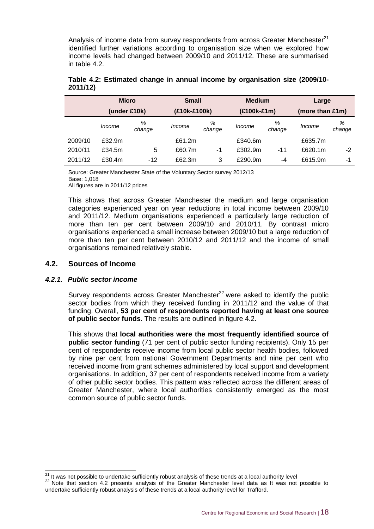Analysis of income data from survey respondents from across Greater Manchester $^{21}$ identified further variations according to organisation size when we explored how income levels had changed between 2009/10 and 2011/12. These are summarised in table 4.2.

|         | <b>Micro</b> |             | <b>Small</b> |             | <b>Medium</b> |             | Large           |             |  |
|---------|--------------|-------------|--------------|-------------|---------------|-------------|-----------------|-------------|--|
|         | (under £10k) |             | (£10k-£100k) |             | (£100k-£1m)   |             | (more than £1m) |             |  |
|         | Income       | %<br>change | Income       | %<br>change | Income        | %<br>change | Income          | %<br>change |  |
| 2009/10 | £32.9m       |             | £61.2m       |             | £340.6m       |             | £635.7m         |             |  |
| 2010/11 | £34.5m       | 5           | £60.7m       | -1          | £302.9m       | $-11$       | £620.1m         | $-2$        |  |
| 2011/12 | £30.4m       | $-12$       | £62.3m       | 3           | £290.9m       | -4          | £615.9m         | -1          |  |

#### **Table 4.2: Estimated change in annual income by organisation size (2009/10- 2011/12)**

Source: Greater Manchester State of the Voluntary Sector survey 2012/13 Base: 1,018 All figures are in 2011/12 prices

This shows that across Greater Manchester the medium and large organisation categories experienced year on year reductions in total income between 2009/10 and 2011/12. Medium organisations experienced a particularly large reduction of more than ten per cent between 2009/10 and 2010/11. By contrast micro organisations experienced a small increase between 2009/10 but a large reduction of more than ten per cent between 2010/12 and 2011/12 and the income of small organisations remained relatively stable.

#### **4.2. Sources of Income**

#### *4.2.1. Public sector income*

Survey respondents across Greater Manchester $^{22}$  were asked to identify the public sector bodies from which they received funding in 2011/12 and the value of that funding. Overall, **53 per cent of respondents reported having at least one source of public sector funds**. The results are outlined in figure 4.2.

This shows that **local authorities were the most frequently identified source of public sector funding** (71 per cent of public sector funding recipients). Only 15 per cent of respondents receive income from local public sector health bodies, followed by nine per cent from national Government Departments and nine per cent who received income from grant schemes administered by local support and development organisations. In addition, 37 per cent of respondents received income from a variety of other public sector bodies. This pattern was reflected across the different areas of Greater Manchester, where local authorities consistently emerged as the most common source of public sector funds.

<sup>-</sup><sup>21</sup> It was not possible to undertake sufficiently robust analysis of these trends at a local authority level

<sup>&</sup>lt;sup>22</sup> Note that section 4.2 presents analysis of the Greater Manchester level data as It was not possible to undertake sufficiently robust analysis of these trends at a local authority level for Trafford.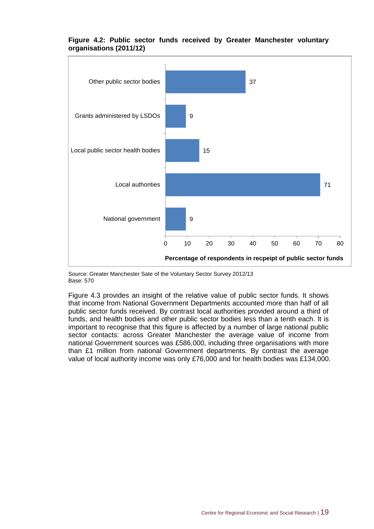

#### **Figure 4.2: Public sector funds received by Greater Manchester voluntary organisations (2011/12)**

Source: Greater Manchester Sate of the Voluntary Sector Survey 2012/13 Base: 570

Figure 4.3 provides an insight of the relative value of public sector funds. It shows that income from National Government Departments accounted more than half of all public sector funds received. By contrast local authorities provided around a third of funds, and health bodies and other public sector bodies less than a tenth each. It is important to recognise that this figure is affected by a number of large national public sector contacts: across Greater Manchester the average value of income from national Government sources was £586,000, including three organisations with more than £1 million from national Government departments. By contrast the average value of local authority income was only £76,000 and for health bodies was £134,000.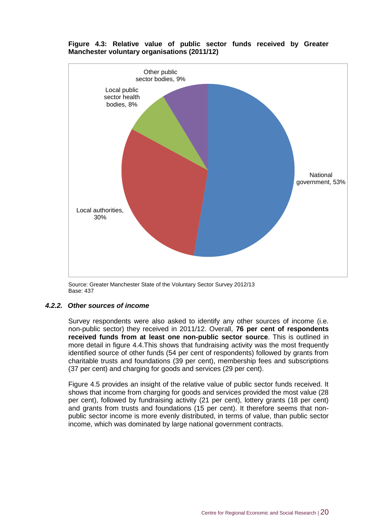

**Figure 4.3: Relative value of public sector funds received by Greater Manchester voluntary organisations (2011/12)**

Source: Greater Manchester State of the Voluntary Sector Survey 2012/13 Base: 437

#### *4.2.2. Other sources of income*

Survey respondents were also asked to identify any other sources of income (i.e. non-public sector) they received in 2011/12. Overall, **76 per cent of respondents received funds from at least one non-public sector source**. This is outlined in more detail in figure 4.4.This shows that fundraising activity was the most frequently identified source of other funds (54 per cent of respondents) followed by grants from charitable trusts and foundations (39 per cent), membership fees and subscriptions (37 per cent) and charging for goods and services (29 per cent).

Figure 4.5 provides an insight of the relative value of public sector funds received. It shows that income from charging for goods and services provided the most value (28 per cent), followed by fundraising activity (21 per cent), lottery grants (18 per cent) and grants from trusts and foundations (15 per cent). It therefore seems that nonpublic sector income is more evenly distributed, in terms of value, than public sector income, which was dominated by large national government contracts.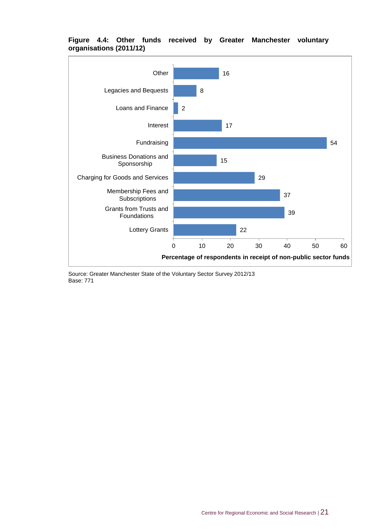

#### **Figure 4.4: Other funds received by Greater Manchester voluntary organisations (2011/12)**

Source: Greater Manchester State of the Voluntary Sector Survey 2012/13 Base: 771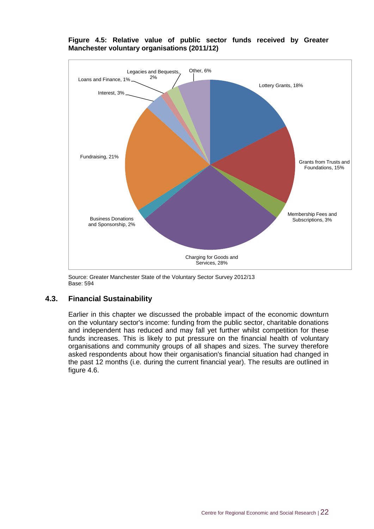

#### **Figure 4.5: Relative value of public sector funds received by Greater Manchester voluntary organisations (2011/12)**

Source: Greater Manchester State of the Voluntary Sector Survey 2012/13 Base: 594

#### **4.3. Financial Sustainability**

Earlier in this chapter we discussed the probable impact of the economic downturn on the voluntary sector's income: funding from the public sector, charitable donations and independent has reduced and may fall yet further whilst competition for these funds increases. This is likely to put pressure on the financial health of voluntary organisations and community groups of all shapes and sizes. The survey therefore asked respondents about how their organisation's financial situation had changed in the past 12 months (i.e. during the current financial year). The results are outlined in figure 4.6.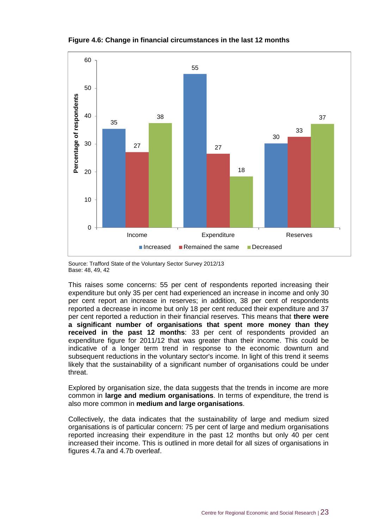

**Figure 4.6: Change in financial circumstances in the last 12 months**

Source: Trafford State of the Voluntary Sector Survey 2012/13 Base: 48, 49, 42

This raises some concerns: 55 per cent of respondents reported increasing their expenditure but only 35 per cent had experienced an increase in income and only 30 per cent report an increase in reserves; in addition, 38 per cent of respondents reported a decrease in income but only 18 per cent reduced their expenditure and 37 per cent reported a reduction in their financial reserves. This means that **there were a significant number of organisations that spent more money than they received in the past 12 months**: 33 per cent of respondents provided an expenditure figure for 2011/12 that was greater than their income. This could be indicative of a longer term trend in response to the economic downturn and subsequent reductions in the voluntary sector's income. In light of this trend it seems likely that the sustainability of a significant number of organisations could be under threat.

Explored by organisation size, the data suggests that the trends in income are more common in **large and medium organisations**. In terms of expenditure, the trend is also more common in **medium and large organisations**.

Collectively, the data indicates that the sustainability of large and medium sized organisations is of particular concern: 75 per cent of large and medium organisations reported increasing their expenditure in the past 12 months but only 40 per cent increased their income. This is outlined in more detail for all sizes of organisations in figures 4.7a and 4.7b overleaf.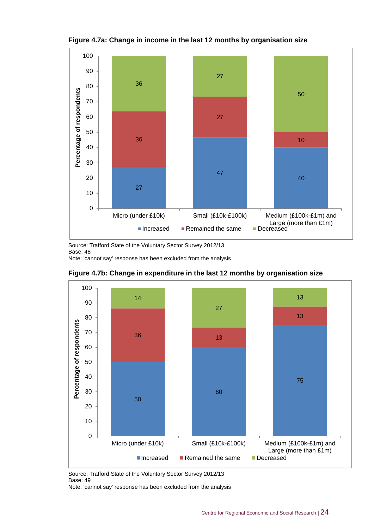

**Figure 4.7a: Change in income in the last 12 months by organisation size**

Source: Trafford State of the Voluntary Sector Survey 2012/13 Base: 48

Note: 'cannot say' response has been excluded from the analysis





Source: Trafford State of the Voluntary Sector Survey 2012/13 Base: 49

Note: 'cannot say' response has been excluded from the analysis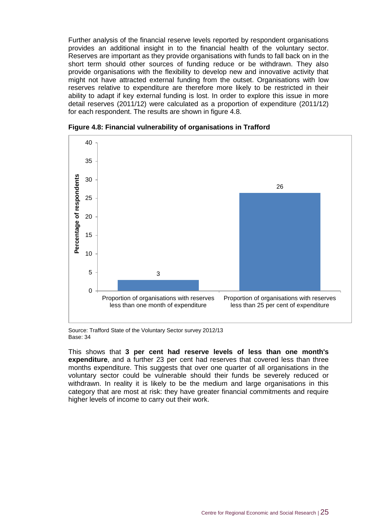Further analysis of the financial reserve levels reported by respondent organisations provides an additional insight in to the financial health of the voluntary sector. Reserves are important as they provide organisations with funds to fall back on in the short term should other sources of funding reduce or be withdrawn. They also provide organisations with the flexibility to develop new and innovative activity that might not have attracted external funding from the outset. Organisations with low reserves relative to expenditure are therefore more likely to be restricted in their ability to adapt if key external funding is lost. In order to explore this issue in more detail reserves (2011/12) were calculated as a proportion of expenditure (2011/12) for each respondent. The results are shown in figure 4.8.



**Figure 4.8: Financial vulnerability of organisations in Trafford**

Source: Trafford State of the Voluntary Sector survey 2012/13 Base: 34

This shows that **3 per cent had reserve levels of less than one month's expenditure**, and a further 23 per cent had reserves that covered less than three months expenditure. This suggests that over one quarter of all organisations in the voluntary sector could be vulnerable should their funds be severely reduced or withdrawn. In reality it is likely to be the medium and large organisations in this category that are most at risk: they have greater financial commitments and require higher levels of income to carry out their work.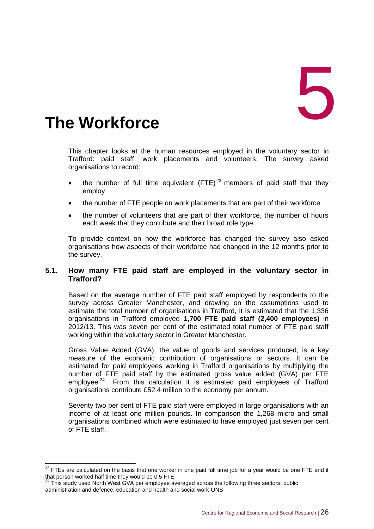<span id="page-36-0"></span>The Workforce

This chapter looks at the human resources employed in the voluntary sector in Trafford: paid staff, work placements and volunteers. The survey asked organisations to record:

- the number of full time equivalent  $(FTE)^{23}$  members of paid staff that they employ
- the number of FTE people on work placements that are part of their workforce
- the number of volunteers that are part of their workforce, the number of hours each week that they contribute and their broad role type.

To provide context on how the workforce has changed the survey also asked organisations how aspects of their workforce had changed in the 12 months prior to the survey.

#### **5.1. How many FTE paid staff are employed in the voluntary sector in Trafford?**

Based on the average number of FTE paid staff employed by respondents to the survey across Greater Manchester, and drawing on the assumptions used to estimate the total number of organisations in Trafford, it is estimated that the 1,336 organisations in Trafford employed **1,700 FTE paid staff (2,400 employees)** in 2012/13. This was seven per cent of the estimated total number of FTE paid staff working within the voluntary sector in Greater Manchester.

Gross Value Added (GVA), the value of goods and services produced, is a key measure of the economic contribution of organisations or sectors. It can be estimated for paid employees working in Trafford organisations by multiplying the number of FTE paid staff by the estimated gross value added (GVA) per FTE employee  $24$ . From this calculation it is estimated paid employees of Trafford organisations contribute £52.4 million to the economy per annum.

Seventy two per cent of FTE paid staff were employed in large organisations with an income of at least one million pounds. In comparison the 1,268 micro and small organisations combined which were estimated to have employed just seven per cent of FTE staff.

 $\overline{a}$  $^{23}$  FTEs are calculated on the basis that one worker in one paid full time job for a year would be one FTE and if that person worked half time they would be 0.5 FTE.

 $24$  This study used North West GVA per employee averaged across the following three sectors: public administration and defence, education and health and social work ONS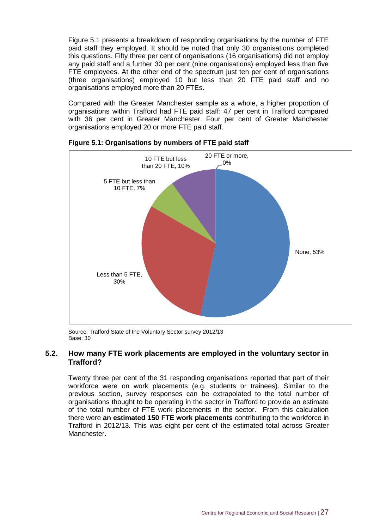Figure 5.1 presents a breakdown of responding organisations by the number of FTE paid staff they employed. It should be noted that only 30 organisations completed this questions. Fifty three per cent of organisations (16 organisations) did not employ any paid staff and a further 30 per cent (nine organisations) employed less than five FTE employees. At the other end of the spectrum just ten per cent of organisations (three organisations) employed 10 but less than 20 FTE paid staff and no organisations employed more than 20 FTEs.

Compared with the Greater Manchester sample as a whole, a higher proportion of organisations within Trafford had FTE paid staff: 47 per cent in Trafford compared with 36 per cent in Greater Manchester. Four per cent of Greater Manchester organisations employed 20 or more FTE paid staff.



#### **Figure 5.1: Organisations by numbers of FTE paid staff**

Source: Trafford State of the Voluntary Sector survey 2012/13 Base: 30

#### **5.2. How many FTE work placements are employed in the voluntary sector in Trafford?**

Twenty three per cent of the 31 responding organisations reported that part of their workforce were on work placements (e.g. students or trainees). Similar to the previous section, survey responses can be extrapolated to the total number of organisations thought to be operating in the sector in Trafford to provide an estimate of the total number of FTE work placements in the sector. From this calculation there were **an estimated 150 FTE work placements** contributing to the workforce in Trafford in 2012/13. This was eight per cent of the estimated total across Greater Manchester.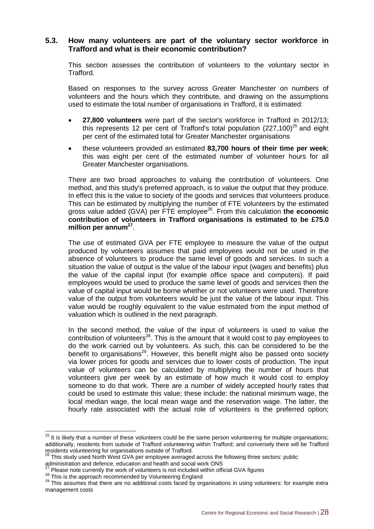#### **5.3. How many volunteers are part of the voluntary sector workforce in Trafford and what is their economic contribution?**

This section assesses the contribution of volunteers to the voluntary sector in Trafford.

Based on responses to the survey across Greater Manchester on numbers of volunteers and the hours which they contribute, and drawing on the assumptions used to estimate the total number of organisations in Trafford, it is estimated:

- **27,800 volunteers** were part of the sector's workforce in Trafford in 2012/13; this represents 12 per cent of Trafford's total population  $(227.100)^{25}$  and eight per cent of the estimated total for Greater Manchester organisations
- these volunteers provided an estimated **83,700 hours of their time per week**; this was eight per cent of the estimated number of volunteer hours for all Greater Manchester organisations.

There are two broad approaches to valuing the contribution of volunteers. One method, and this study's preferred approach, is to value the output that they produce. In effect this is the value to society of the goods and services that volunteers produce. This can be estimated by multiplying the number of FTE volunteers by the estimated gross value added (GVA) per FTE employee<sup>26</sup>. From this calculation **the economic contribution of volunteers in Trafford organisations is estimated to be £75.0 million per annum<sup>27</sup>** .

The use of estimated GVA per FTE employee to measure the value of the output produced by volunteers assumes that paid employees would not be used in the absence of volunteers to produce the same level of goods and services. In such a situation the value of output is the value of the labour input (wages and benefits) plus the value of the capital input (for example office space and computers). If paid employees would be used to produce the same level of goods and services then the value of capital input would be borne whether or not volunteers were used. Therefore value of the output from volunteers would be just the value of the labour input. This value would be roughly equivalent to the value estimated from the input method of valuation which is outlined in the next paragraph.

In the second method, the value of the input of volunteers is used to value the contribution of volunteers<sup>28</sup>. This is the amount that it would cost to pay employees to do the work carried out by volunteers. As such, this can be considered to be the benefit to organisations<sup>29</sup>. However, this benefit might also be passed onto society via lower prices for goods and services due to lower costs of production. The input value of volunteers can be calculated by multiplying the number of hours that volunteers give per week by an estimate of how much it would cost to employ someone to do that work. There are a number of widely accepted hourly rates that could be used to estimate this value; these include: the national minimum wage, the local median wage, the local mean wage and the reservation wage. The latter, the hourly rate associated with the actual role of volunteers is the preferred option;

 $\overline{a}$ 

 $25$  It is likely that a number of these volunteers could be the same person volunteering for multiple organisations; additionally, residents from outside of Trafford volunteering within Trafford; and conversely there will be Trafford residents volunteering for organisations outside of Trafford.

 $26$  This study used North West GVA per employee averaged across the following three sectors: public

administration and defence, education and health and social work ONS  $<sup>7</sup>$  Please note currently the work of volunteers is not included within official GVA figures</sup>

<sup>&</sup>lt;sup>28</sup> This is the approach recommended by Volunteering England

<sup>&</sup>lt;sup>29</sup> This assumes that there are no additional costs faced by organisations in using volunteers: for example extra management costs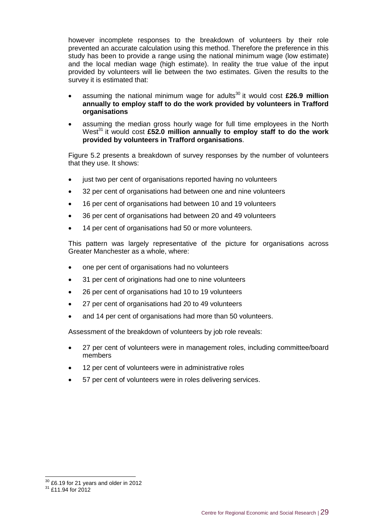however incomplete responses to the breakdown of volunteers by their role prevented an accurate calculation using this method. Therefore the preference in this study has been to provide a range using the national minimum wage (low estimate) and the local median wage (high estimate). In reality the true value of the input provided by volunteers will lie between the two estimates. Given the results to the survey it is estimated that:

- assuming the national minimum wage for adults<sup>30</sup> it would cost £26.9 million **annually to employ staff to do the work provided by volunteers in Trafford organisations**
- assuming the median gross hourly wage for full time employees in the North West<sup>31</sup> it would cost £52.0 million annually to employ staff to do the work **provided by volunteers in Trafford organisations**.

Figure 5.2 presents a breakdown of survey responses by the number of volunteers that they use. It shows:

- just two per cent of organisations reported having no volunteers
- 32 per cent of organisations had between one and nine volunteers
- 16 per cent of organisations had between 10 and 19 volunteers
- 36 per cent of organisations had between 20 and 49 volunteers
- 14 per cent of organisations had 50 or more volunteers.

This pattern was largely representative of the picture for organisations across Greater Manchester as a whole, where:

- one per cent of organisations had no volunteers
- 31 per cent of originations had one to nine volunteers
- 26 per cent of organisations had 10 to 19 volunteers
- 27 per cent of organisations had 20 to 49 volunteers
- and 14 per cent of organisations had more than 50 volunteers.

Assessment of the breakdown of volunteers by job role reveals:

- 27 per cent of volunteers were in management roles, including committee/board members
- 12 per cent of volunteers were in administrative roles
- 57 per cent of volunteers were in roles delivering services.

-

 $30$  £6.19 for 21 years and older in 2012

<sup>&</sup>lt;sup>31</sup> £11.94 for 2012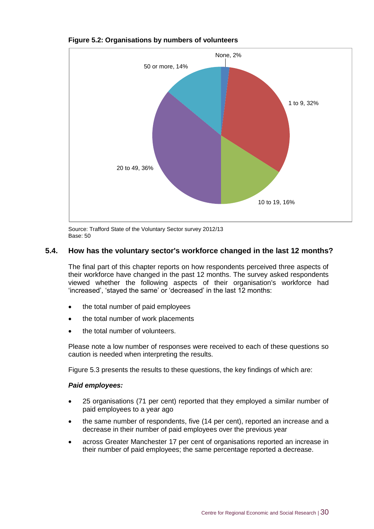

#### **Figure 5.2: Organisations by numbers of volunteers**

Source: Trafford State of the Voluntary Sector survey 2012/13 Base: 50

#### **5.4. How has the voluntary sector's workforce changed in the last 12 months?**

The final part of this chapter reports on how respondents perceived three aspects of their workforce have changed in the past 12 months. The survey asked respondents viewed whether the following aspects of their organisation's workforce had 'increased', 'stayed the same' or 'decreased' in the last 12 months:

- the total number of paid employees
- the total number of work placements
- the total number of volunteers.

Please note a low number of responses were received to each of these questions so caution is needed when interpreting the results.

Figure 5.3 presents the results to these questions, the key findings of which are:

#### *Paid employees:*

- 25 organisations (71 per cent) reported that they employed a similar number of paid employees to a year ago
- the same number of respondents, five (14 per cent), reported an increase and a decrease in their number of paid employees over the previous year
- across Greater Manchester 17 per cent of organisations reported an increase in their number of paid employees; the same percentage reported a decrease.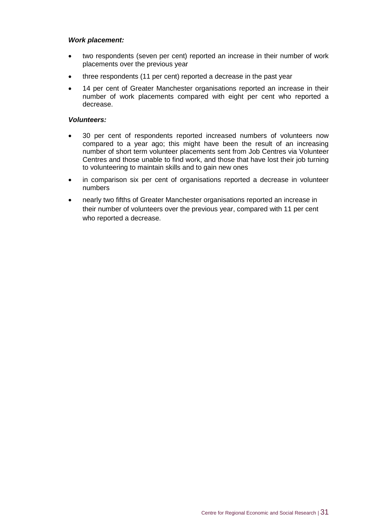#### *Work placement:*

- two respondents (seven per cent) reported an increase in their number of work placements over the previous year
- three respondents (11 per cent) reported a decrease in the past year
- 14 per cent of Greater Manchester organisations reported an increase in their number of work placements compared with eight per cent who reported a decrease.

#### *Volunteers:*

- 30 per cent of respondents reported increased numbers of volunteers now compared to a year ago; this might have been the result of an increasing number of short term volunteer placements sent from Job Centres via Volunteer Centres and those unable to find work, and those that have lost their job turning to volunteering to maintain skills and to gain new ones
- in comparison six per cent of organisations reported a decrease in volunteer numbers
- nearly two fifths of Greater Manchester organisations reported an increase in their number of volunteers over the previous year, compared with 11 per cent who reported a decrease.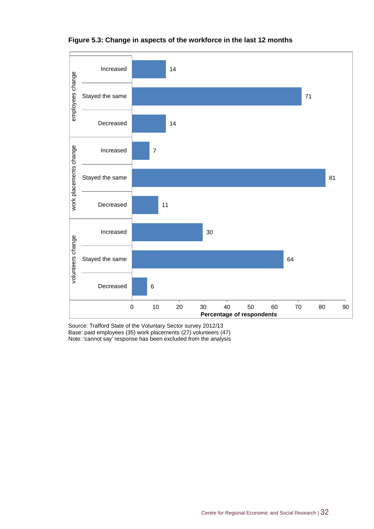

#### **Figure 5.3: Change in aspects of the workforce in the last 12 months**

Source: Trafford State of the Voluntary Sector survey 2012/13 Base: paid employees (35) work placements (27) volunteers (47) Note: 'cannot say' response has been excluded from the analysis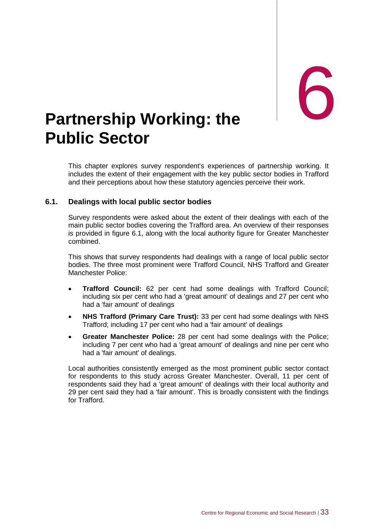# <span id="page-43-0"></span>**Partnership Working: the Public Sector**

This chapter explores survey respondent's experiences of partnership working. It includes the extent of their engagement with the key public sector bodies in Trafford and their perceptions about how these statutory agencies perceive their work.

#### **6.1. Dealings with local public sector bodies**

Survey respondents were asked about the extent of their dealings with each of the main public sector bodies covering the Trafford area. An overview of their responses is provided in figure 6.1, along with the local authority figure for Greater Manchester combined.

This shows that survey respondents had dealings with a range of local public sector bodies. The three most prominent were Trafford Council, NHS Trafford and Greater Manchester Police:

- **Trafford Council:** 62 per cent had some dealings with Trafford Council; including six per cent who had a 'great amount' of dealings and 27 per cent who had a 'fair amount' of dealings
- **NHS Trafford (Primary Care Trust):** 33 per cent had some dealings with NHS Trafford; including 17 per cent who had a 'fair amount' of dealings
- **Greater Manchester Police:** 28 per cent had some dealings with the Police; including 7 per cent who had a 'great amount' of dealings and nine per cent who had a 'fair amount' of dealings.

Local authorities consistently emerged as the most prominent public sector contact for respondents to this study across Greater Manchester. Overall, 11 per cent of respondents said they had a 'great amount' of dealings with their local authority and 29 per cent said they had a 'fair amount'. This is broadly consistent with the findings for Trafford.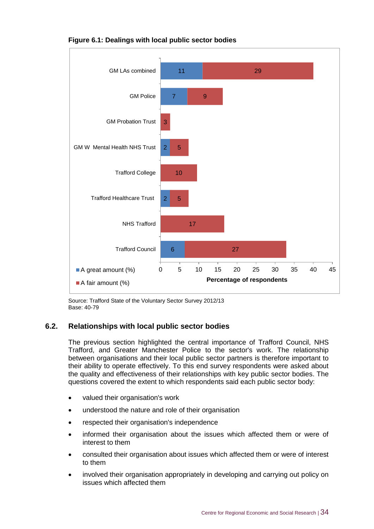

#### **Figure 6.1: Dealings with local public sector bodies**

Source: Trafford State of the Voluntary Sector Survey 2012/13 Base: 40-79

#### **6.2. Relationships with local public sector bodies**

The previous section highlighted the central importance of Trafford Council, NHS Trafford, and Greater Manchester Police to the sector's work. The relationship between organisations and their local public sector partners is therefore important to their ability to operate effectively. To this end survey respondents were asked about the quality and effectiveness of their relationships with key public sector bodies. The questions covered the extent to which respondents said each public sector body:

- valued their organisation's work
- understood the nature and role of their organisation
- respected their organisation's independence
- informed their organisation about the issues which affected them or were of interest to them
- consulted their organisation about issues which affected them or were of interest to them
- involved their organisation appropriately in developing and carrying out policy on issues which affected them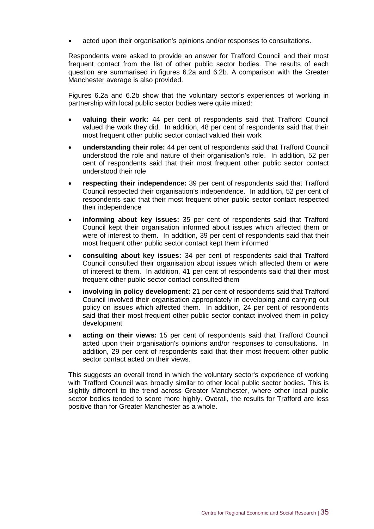acted upon their organisation's opinions and/or responses to consultations.

Respondents were asked to provide an answer for Trafford Council and their most frequent contact from the list of other public sector bodies. The results of each question are summarised in figures 6.2a and 6.2b. A comparison with the Greater Manchester average is also provided.

Figures 6.2a and 6.2b show that the voluntary sector's experiences of working in partnership with local public sector bodies were quite mixed:

- **valuing their work:** 44 per cent of respondents said that Trafford Council valued the work they did. In addition, 48 per cent of respondents said that their most frequent other public sector contact valued their work
- **understanding their role:** 44 per cent of respondents said that Trafford Council understood the role and nature of their organisation's role. In addition, 52 per cent of respondents said that their most frequent other public sector contact understood their role
- **respecting their independence:** 39 per cent of respondents said that Trafford Council respected their organisation's independence. In addition, 52 per cent of respondents said that their most frequent other public sector contact respected their independence
- **informing about key issues:** 35 per cent of respondents said that Trafford Council kept their organisation informed about issues which affected them or were of interest to them. In addition, 39 per cent of respondents said that their most frequent other public sector contact kept them informed
- **consulting about key issues:** 34 per cent of respondents said that Trafford Council consulted their organisation about issues which affected them or were of interest to them. In addition, 41 per cent of respondents said that their most frequent other public sector contact consulted them
- **involving in policy development:** 21 per cent of respondents said that Trafford Council involved their organisation appropriately in developing and carrying out policy on issues which affected them. In addition, 24 per cent of respondents said that their most frequent other public sector contact involved them in policy development
- **acting on their views:** 15 per cent of respondents said that Trafford Council acted upon their organisation's opinions and/or responses to consultations. In addition, 29 per cent of respondents said that their most frequent other public sector contact acted on their views.

This suggests an overall trend in which the voluntary sector's experience of working with Trafford Council was broadly similar to other local public sector bodies. This is slightly different to the trend across Greater Manchester, where other local public sector bodies tended to score more highly. Overall, the results for Trafford are less positive than for Greater Manchester as a whole.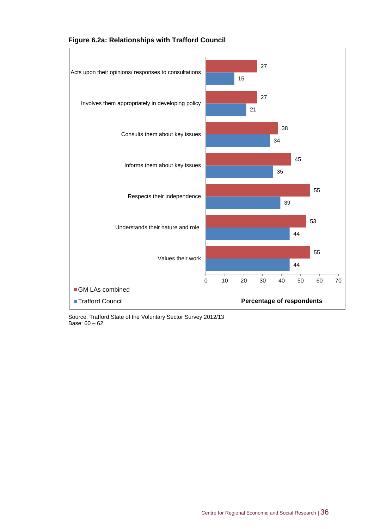



Source: Trafford State of the Voluntary Sector Survey 2012/13 Base: 60 – 62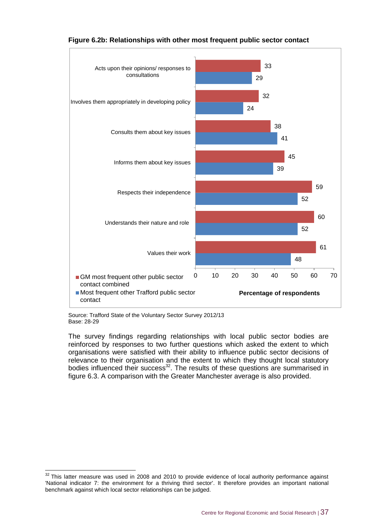

#### **Figure 6.2b: Relationships with other most frequent public sector contact**

Source: Trafford State of the Voluntary Sector Survey 2012/13 Base: 28-29

-

The survey findings regarding relationships with local public sector bodies are reinforced by responses to two further questions which asked the extent to which organisations were satisfied with their ability to influence public sector decisions of relevance to their organisation and the extent to which they thought local statutory bodies influenced their success<sup>32</sup>. The results of these questions are summarised in figure 6.3. A comparison with the Greater Manchester average is also provided.

 $32$  This latter measure was used in 2008 and 2010 to provide evidence of local authority performance against 'National indicator 7: the environment for a thriving third sector'. It therefore provides an important national benchmark against which local sector relationships can be judged.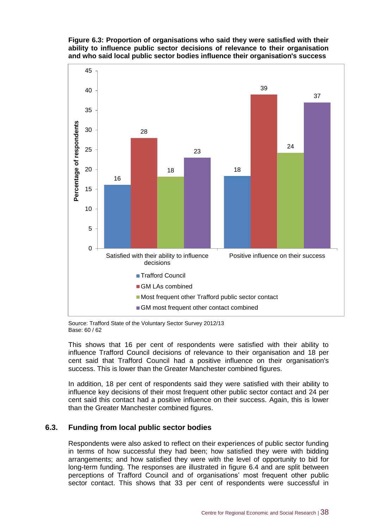#### **Figure 6.3: Proportion of organisations who said they were satisfied with their ability to influence public sector decisions of relevance to their organisation and who said local public sector bodies influence their organisation's success**



Source: Trafford State of the Voluntary Sector Survey 2012/13 Base: 60 / 62

This shows that 16 per cent of respondents were satisfied with their ability to influence Trafford Council decisions of relevance to their organisation and 18 per cent said that Trafford Council had a positive influence on their organisation's success. This is lower than the Greater Manchester combined figures.

In addition, 18 per cent of respondents said they were satisfied with their ability to influence key decisions of their most frequent other public sector contact and 24 per cent said this contact had a positive influence on their success. Again, this is lower than the Greater Manchester combined figures.

#### **6.3. Funding from local public sector bodies**

Respondents were also asked to reflect on their experiences of public sector funding in terms of how successful they had been; how satisfied they were with bidding arrangements; and how satisfied they were with the level of opportunity to bid for long-term funding. The responses are illustrated in figure 6.4 and are split between perceptions of Trafford Council and of organisations' most frequent other public sector contact. This shows that 33 per cent of respondents were successful in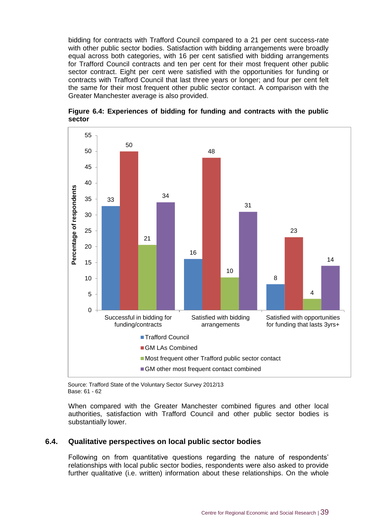bidding for contracts with Trafford Council compared to a 21 per cent success-rate with other public sector bodies. Satisfaction with bidding arrangements were broadly equal across both categories, with 16 per cent satisfied with bidding arrangements for Trafford Council contracts and ten per cent for their most frequent other public sector contract. Eight per cent were satisfied with the opportunities for funding or contracts with Trafford Council that last three years or longer; and four per cent felt the same for their most frequent other public sector contact. A comparison with the Greater Manchester average is also provided.





Source: Trafford State of the Voluntary Sector Survey 2012/13 Base: 61 - 62

When compared with the Greater Manchester combined figures and other local authorities, satisfaction with Trafford Council and other public sector bodies is substantially lower.

#### **6.4. Qualitative perspectives on local public sector bodies**

Following on from quantitative questions regarding the nature of respondents' relationships with local public sector bodies, respondents were also asked to provide further qualitative (i.e. written) information about these relationships. On the whole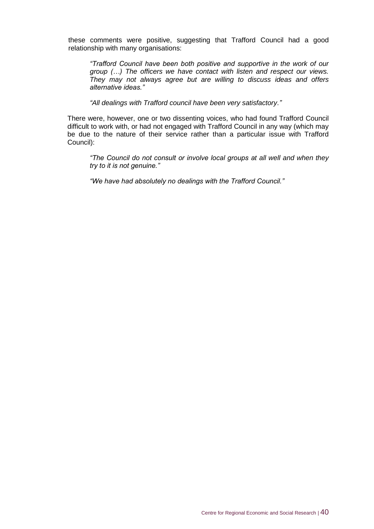these comments were positive, suggesting that Trafford Council had a good relationship with many organisations:

*"Trafford Council have been both positive and supportive in the work of our group (…) The officers we have contact with listen and respect our views. They may not always agree but are willing to discuss ideas and offers alternative ideas."*

*"All dealings with Trafford council have been very satisfactory."*

There were, however, one or two dissenting voices, who had found Trafford Council difficult to work with, or had not engaged with Trafford Council in any way (which may be due to the nature of their service rather than a particular issue with Trafford Council):

*"The Council do not consult or involve local groups at all well and when they try to it is not genuine."*

*"We have had absolutely no dealings with the Trafford Council."*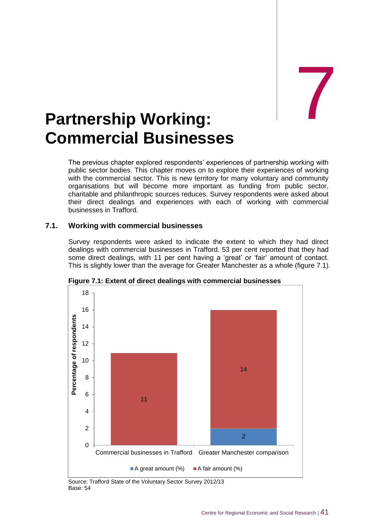# <span id="page-51-0"></span>Partnership Working: **Commercial Businesses**

The previous chapter explored respondents' experiences of partnership working with public sector bodies. This chapter moves on to explore their experiences of working with the commercial sector. This is new territory for many voluntary and community organisations but will become more important as funding from public sector, charitable and philanthropic sources reduces. Survey respondents were asked about their direct dealings and experiences with each of working with commercial businesses in Trafford.

#### **7.1. Working with commercial businesses**

Survey respondents were asked to indicate the extent to which they had direct dealings with commercial businesses in Trafford. 53 per cent reported that they had some direct dealings, with 11 per cent having a 'great' or 'fair' amount of contact. This is slightly lower than the average for Greater Manchester as a whole (figure 7.1).



**Figure 7.1: Extent of direct dealings with commercial businesses**

Source: Trafford State of the Voluntary Sector Survey 2012/13 Base: 54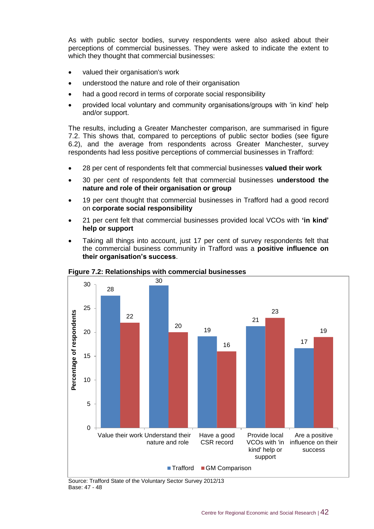As with public sector bodies, survey respondents were also asked about their perceptions of commercial businesses. They were asked to indicate the extent to which they thought that commercial businesses:

- valued their organisation's work
- understood the nature and role of their organisation
- had a good record in terms of corporate social responsibility
- provided local voluntary and community organisations/groups with 'in kind' help and/or support.

The results, including a Greater Manchester comparison, are summarised in figure 7.2. This shows that, compared to perceptions of public sector bodies (see figure 6.2), and the average from respondents across Greater Manchester, survey respondents had less positive perceptions of commercial businesses in Trafford:

- 28 per cent of respondents felt that commercial businesses **valued their work**
- 30 per cent of respondents felt that commercial businesses **understood the nature and role of their organisation or group**
- 19 per cent thought that commercial businesses in Trafford had a good record on **corporate social responsibility**
- 21 per cent felt that commercial businesses provided local VCOs with **'in kind' help or support**
- Taking all things into account, just 17 per cent of survey respondents felt that the commercial business community in Trafford was a **positive influence on their organisation's success**.



**Figure 7.2: Relationships with commercial businesses**

Source: Trafford State of the Voluntary Sector Survey 2012/13<br>Base: 47 - 48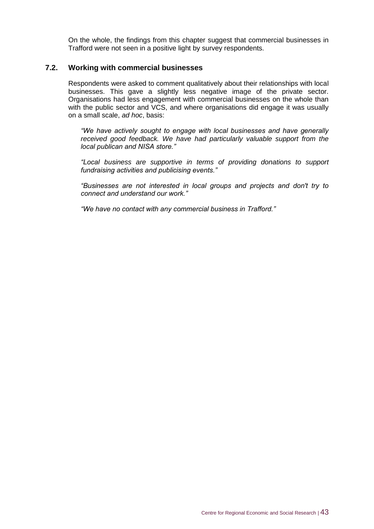On the whole, the findings from this chapter suggest that commercial businesses in Trafford were not seen in a positive light by survey respondents.

#### **7.2. Working with commercial businesses**

Respondents were asked to comment qualitatively about their relationships with local businesses. This gave a slightly less negative image of the private sector. Organisations had less engagement with commercial businesses on the whole than with the public sector and VCS, and where organisations did engage it was usually on a small scale, *ad hoc*, basis:

*"We have actively sought to engage with local businesses and have generally received good feedback. We have had particularly valuable support from the local publican and NISA store."*

*"Local business are supportive in terms of providing donations to support fundraising activities and publicising events."*

*"Businesses are not interested in local groups and projects and don't try to connect and understand our work."*

*"We have no contact with any commercial business in Trafford."*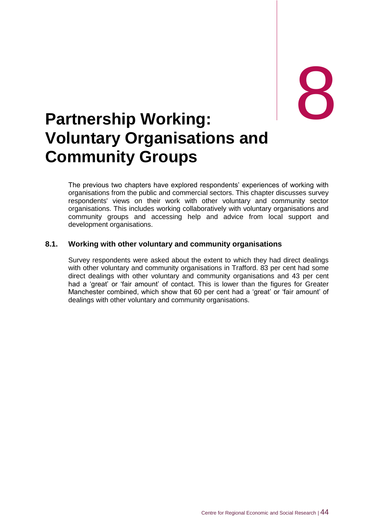# <span id="page-54-0"></span>external partnership Working: **Voluntary Organisations and Community Groups**

The previous two chapters have explored respondents' experiences of working with organisations from the public and commercial sectors. This chapter discusses survey respondents' views on their work with other voluntary and community sector organisations. This includes working collaboratively with voluntary organisations and community groups and accessing help and advice from local support and development organisations.

#### **8.1. Working with other voluntary and community organisations**

Survey respondents were asked about the extent to which they had direct dealings with other voluntary and community organisations in Trafford. 83 per cent had some direct dealings with other voluntary and community organisations and 43 per cent had a 'great' or 'fair amount' of contact. This is lower than the figures for Greater Manchester combined, which show that 60 per cent had a 'great' or 'fair amount' of dealings with other voluntary and community organisations.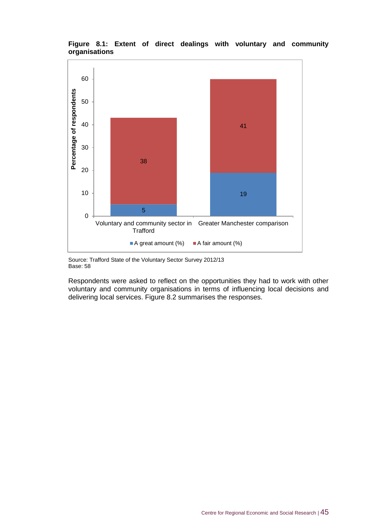

**Figure 8.1: Extent of direct dealings with voluntary and community organisations**

Source: Trafford State of the Voluntary Sector Survey 2012/13 Base: 58

Respondents were asked to reflect on the opportunities they had to work with other voluntary and community organisations in terms of influencing local decisions and delivering local services. Figure 8.2 summarises the responses.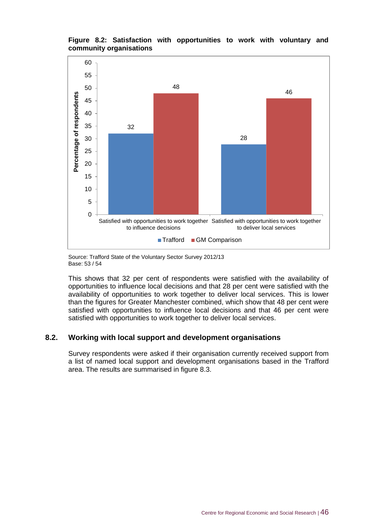#### **Figure 8.2: Satisfaction with opportunities to work with voluntary and community organisations**



Source: Trafford State of the Voluntary Sector Survey 2012/13 Base: 53 / 54

This shows that 32 per cent of respondents were satisfied with the availability of opportunities to influence local decisions and that 28 per cent were satisfied with the availability of opportunities to work together to deliver local services. This is lower than the figures for Greater Manchester combined, which show that 48 per cent were satisfied with opportunities to influence local decisions and that 46 per cent were satisfied with opportunities to work together to deliver local services.

#### **8.2. Working with local support and development organisations**

Survey respondents were asked if their organisation currently received support from a list of named local support and development organisations based in the Trafford area. The results are summarised in figure 8.3.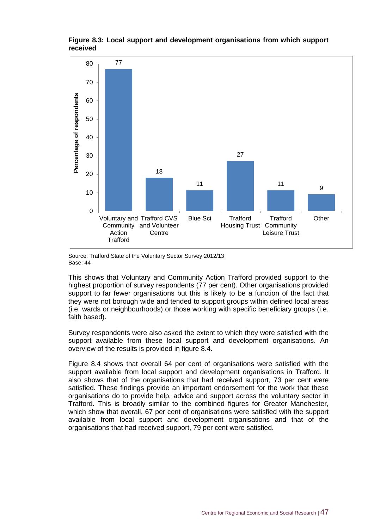

#### **Figure 8.3: Local support and development organisations from which support received**

Source: Trafford State of the Voluntary Sector Survey 2012/13 Base: 44

This shows that Voluntary and Community Action Trafford provided support to the highest proportion of survey respondents (77 per cent). Other organisations provided support to far fewer organisations but this is likely to be a function of the fact that they were not borough wide and tended to support groups within defined local areas (i.e. wards or neighbourhoods) or those working with specific beneficiary groups (i.e. faith based).

Survey respondents were also asked the extent to which they were satisfied with the support available from these local support and development organisations. An overview of the results is provided in figure 8.4.

Figure 8.4 shows that overall 64 per cent of organisations were satisfied with the support available from local support and development organisations in Trafford. It also shows that of the organisations that had received support, 73 per cent were satisfied. These findings provide an important endorsement for the work that these organisations do to provide help, advice and support across the voluntary sector in Trafford. This is broadly similar to the combined figures for Greater Manchester, which show that overall, 67 per cent of organisations were satisfied with the support available from local support and development organisations and that of the organisations that had received support, 79 per cent were satisfied.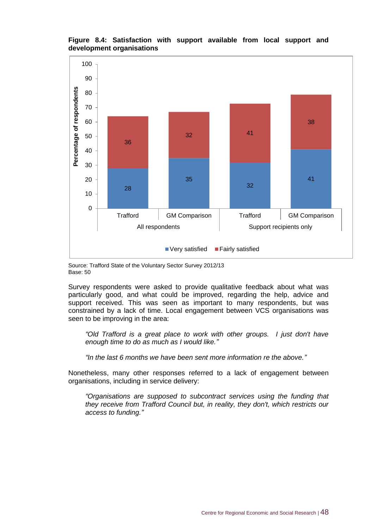#### **Figure 8.4: Satisfaction with support available from local support and development organisations**



Source: Trafford State of the Voluntary Sector Survey 2012/13 Base: 50

Survey respondents were asked to provide qualitative feedback about what was particularly good, and what could be improved, regarding the help, advice and support received. This was seen as important to many respondents, but was constrained by a lack of time. Local engagement between VCS organisations was seen to be improving in the area:

*"Old Trafford is a great place to work with other groups. I just don't have enough time to do as much as I would like."*

*"In the last 6 months we have been sent more information re the above."*

Nonetheless, many other responses referred to a lack of engagement between organisations, including in service delivery:

*"Organisations are supposed to subcontract services using the funding that they receive from Trafford Council but, in reality, they don't, which restricts our access to funding."*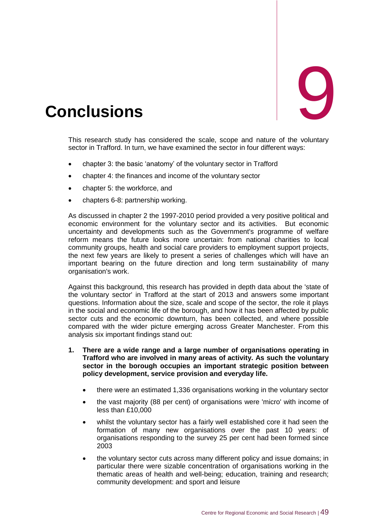<span id="page-59-0"></span>

This research study has considered the scale, scope and nature of the voluntary sector in Trafford. In turn, we have examined the sector in four different ways:

- chapter 3: the basic 'anatomy' of the voluntary sector in Trafford
- chapter 4: the finances and income of the voluntary sector
- chapter 5: the workforce, and
- chapters 6-8: partnership working.

As discussed in chapter 2 the 1997-2010 period provided a very positive political and economic environment for the voluntary sector and its activities. But economic uncertainty and developments such as the Government's programme of welfare reform means the future looks more uncertain: from national charities to local community groups, health and social care providers to employment support projects, the next few years are likely to present a series of challenges which will have an important bearing on the future direction and long term sustainability of many organisation's work.

Against this background, this research has provided in depth data about the 'state of the voluntary sector' in Trafford at the start of 2013 and answers some important questions. Information about the size, scale and scope of the sector, the role it plays in the social and economic life of the borough, and how it has been affected by public sector cuts and the economic downturn, has been collected, and where possible compared with the wider picture emerging across Greater Manchester. From this analysis six important findings stand out:

- **1. There are a wide range and a large number of organisations operating in Trafford who are involved in many areas of activity. As such the voluntary sector in the borough occupies an important strategic position between policy development, service provision and everyday life.**
	- there were an estimated 1,336 organisations working in the voluntary sector
	- the vast majority (88 per cent) of organisations were 'micro' with income of less than £10,000
	- whilst the voluntary sector has a fairly well established core it had seen the formation of many new organisations over the past 10 years: of organisations responding to the survey 25 per cent had been formed since 2003
	- the voluntary sector cuts across many different policy and issue domains; in particular there were sizable concentration of organisations working in the thematic areas of health and well-being; education, training and research; community development: and sport and leisure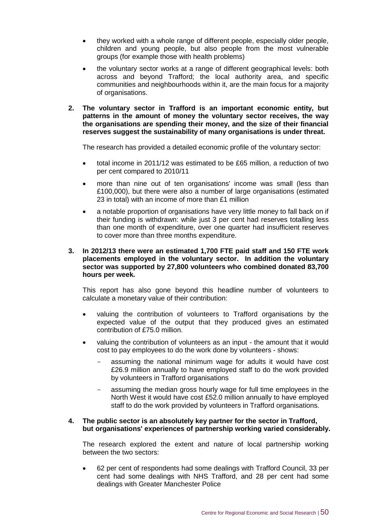- they worked with a whole range of different people, especially older people, children and young people, but also people from the most vulnerable groups (for example those with health problems)
- the voluntary sector works at a range of different geographical levels: both across and beyond Trafford; the local authority area, and specific communities and neighbourhoods within it, are the main focus for a majority of organisations.
- **2. The voluntary sector in Trafford is an important economic entity, but patterns in the amount of money the voluntary sector receives, the way the organisations are spending their money, and the size of their financial reserves suggest the sustainability of many organisations is under threat.**

The research has provided a detailed economic profile of the voluntary sector:

- total income in 2011/12 was estimated to be £65 million, a reduction of two per cent compared to 2010/11
- more than nine out of ten organisations' income was small (less than £100,000), but there were also a number of large organisations (estimated 23 in total) with an income of more than £1 million
- a notable proportion of organisations have very little money to fall back on if their funding is withdrawn: while just 3 per cent had reserves totalling less than one month of expenditure, over one quarter had insufficient reserves to cover more than three months expenditure.
- **3. In 2012/13 there were an estimated 1,700 FTE paid staff and 150 FTE work placements employed in the voluntary sector. In addition the voluntary sector was supported by 27,800 volunteers who combined donated 83,700 hours per week.**

This report has also gone beyond this headline number of volunteers to calculate a monetary value of their contribution:

- valuing the contribution of volunteers to Trafford organisations by the expected value of the output that they produced gives an estimated contribution of £75.0 million.
- valuing the contribution of volunteers as an input the amount that it would cost to pay employees to do the work done by volunteers - shows:
	- assuming the national minimum wage for adults it would have cost £26.9 million annually to have employed staff to do the work provided by volunteers in Trafford organisations
	- assuming the median gross hourly wage for full time employees in the North West it would have cost £52.0 million annually to have employed staff to do the work provided by volunteers in Trafford organisations.

#### **4. The public sector is an absolutely key partner for the sector in Trafford, but organisations' experiences of partnership working varied considerably.**

The research explored the extent and nature of local partnership working between the two sectors:

 62 per cent of respondents had some dealings with Trafford Council, 33 per cent had some dealings with NHS Trafford, and 28 per cent had some dealings with Greater Manchester Police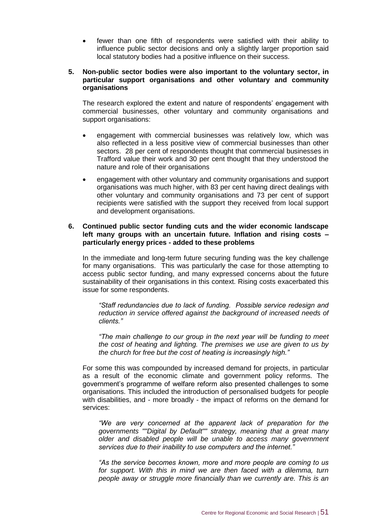fewer than one fifth of respondents were satisfied with their ability to influence public sector decisions and only a slightly larger proportion said local statutory bodies had a positive influence on their success.

#### **5. Non-public sector bodies were also important to the voluntary sector, in particular support organisations and other voluntary and community organisations**

The research explored the extent and nature of respondents' engagement with commercial businesses, other voluntary and community organisations and support organisations:

- engagement with commercial businesses was relatively low, which was also reflected in a less positive view of commercial businesses than other sectors. 28 per cent of respondents thought that commercial businesses in Trafford value their work and 30 per cent thought that they understood the nature and role of their organisations
- engagement with other voluntary and community organisations and support organisations was much higher, with 83 per cent having direct dealings with other voluntary and community organisations and 73 per cent of support recipients were satisfied with the support they received from local support and development organisations.

#### **6. Continued public sector funding cuts and the wider economic landscape left many groups with an uncertain future. Inflation and rising costs – particularly energy prices - added to these problems**

In the immediate and long-term future securing funding was the key challenge for many organisations. This was particularly the case for those attempting to access public sector funding, and many expressed concerns about the future sustainability of their organisations in this context. Rising costs exacerbated this issue for some respondents.

*"Staff redundancies due to lack of funding. Possible service redesign and reduction in service offered against the background of increased needs of clients."*

*"The main challenge to our group in the next year will be funding to meet the cost of heating and lighting. The premises we use are given to us by the church for free but the cost of heating is increasingly high."*

For some this was compounded by increased demand for projects, in particular as a result of the economic climate and government policy reforms. The government's programme of welfare reform also presented challenges to some organisations. This included the introduction of personalised budgets for people with disabilities, and - more broadly - the impact of reforms on the demand for services:

*"We are very concerned at the apparent lack of preparation for the governments ""Digital by Default"" strategy, meaning that a great many older and disabled people will be unable to access many government services due to their inability to use computers and the internet."*

*"As the service becomes known, more and more people are coming to us for support. With this in mind we are then faced with a dilemma, turn people away or struggle more financially than we currently are. This is an*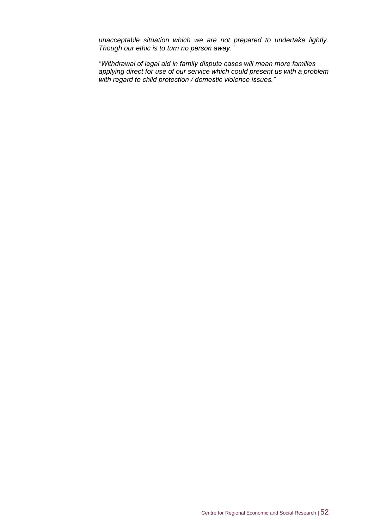*unacceptable situation which we are not prepared to undertake lightly. Though our ethic is to turn no person away."*

*"Withdrawal of legal aid in family dispute cases will mean more families applying direct for use of our service which could present us with a problem with regard to child protection / domestic violence issues."*